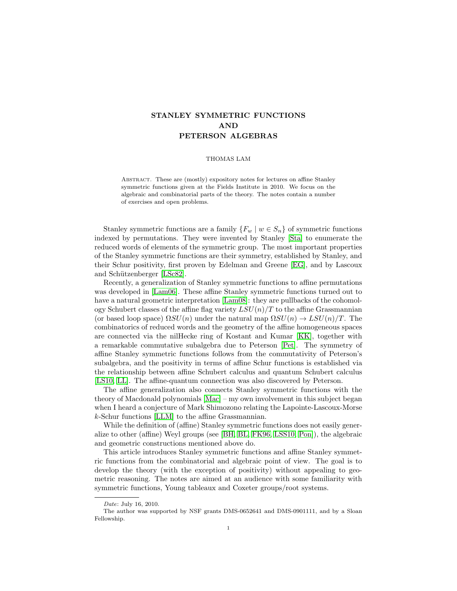# STANLEY SYMMETRIC FUNCTIONS AND PETERSON ALGEBRAS

#### THOMAS LAM

ABSTRACT. These are (mostly) expository notes for lectures on affine Stanley symmetric functions given at the Fields Institute in 2010. We focus on the algebraic and combinatorial parts of the theory. The notes contain a number of exercises and open problems.

Stanley symmetric functions are a family  $\{F_w \mid w \in S_n\}$  of symmetric functions indexed by permutations. They were invented by Stanley [\[Sta\]](#page-28-0) to enumerate the reduced words of elements of the symmetric group. The most important properties of the Stanley symmetric functions are their symmetry, established by Stanley, and their Schur positivity, first proven by Edelman and Greene [\[EG\]](#page-26-0), and by Lascoux and Schützenberger [\[LSc82\]](#page-27-0).

Recently, a generalization of Stanley symmetric functions to affine permutations was developed in [\[Lam06\]](#page-27-1). These affine Stanley symmetric functions turned out to have a natural geometric interpretation [\[Lam08\]](#page-27-2): they are pullbacks of the cohomology Schubert classes of the affine flag variety  $LSU(n)/T$  to the affine Grassmannian (or based loop space)  $\Omega SU(n)$  under the natural map  $\Omega SU(n) \rightarrow L SU(n)/T$ . The combinatorics of reduced words and the geometry of the affine homogeneous spaces are connected via the nilHecke ring of Kostant and Kumar [\[KK\]](#page-27-3), together with a remarkable commutative subalgebra due to Peterson [\[Pet\]](#page-28-1). The symmetry of affine Stanley symmetric functions follows from the commutativity of Peterson's subalgebra, and the positivity in terms of affine Schur functions is established via the relationship between affine Schubert calculus and quantum Schubert calculus [\[LS10,](#page-27-4) [LL\]](#page-28-2). The affine-quantum connection was also discovered by Peterson.

The affine generalization also connects Stanley symmetric functions with the theory of Macdonald polynomials [\[Mac\]](#page-28-3) – my own involvement in this subject began when I heard a conjecture of Mark Shimozono relating the Lapointe-Lascoux-Morse k-Schur functions [\[LLM\]](#page-27-5) to the affine Grassmannian.

While the definition of (affine) Stanley symmetric functions does not easily generalize to other (affine) Weyl groups (see [\[BH,](#page-26-1) [BL,](#page-26-2) [FK96,](#page-27-6) [LSS10,](#page-27-7) [Pon\]](#page-28-4)), the algebraic and geometric constructions mentioned above do.

This article introduces Stanley symmetric functions and affine Stanley symmetric functions from the combinatorial and algebraic point of view. The goal is to develop the theory (with the exception of positivity) without appealing to geometric reasoning. The notes are aimed at an audience with some familiarity with symmetric functions, Young tableaux and Coxeter groups/root systems.

Date: July 16, 2010.

The author was supported by NSF grants DMS-0652641 and DMS-0901111, and by a Sloan Fellowship.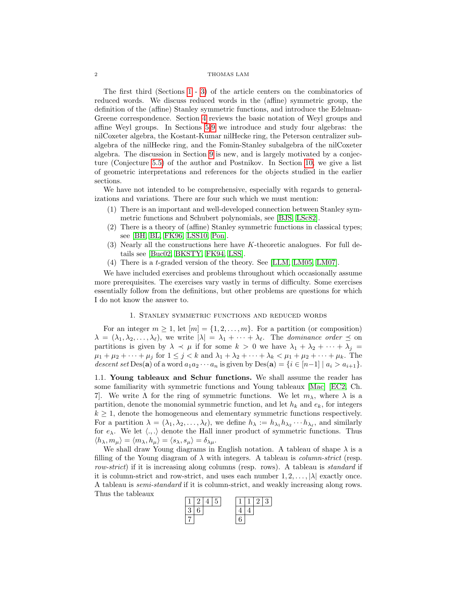#### $2\,$   $\,$   $\,$  THOMAS LAM

The first third (Sections [1](#page-1-0) - [3\)](#page-8-0) of the article centers on the combinatorics of reduced words. We discuss reduced words in the (affine) symmetric group, the definition of the (affine) Stanley symmetric functions, and introduce the Edelman-Greene correspondence. Section [4](#page-12-0) reviews the basic notation of Weyl groups and affine Weyl groups. In Sections [5](#page-14-0)[-9](#page-24-0) we introduce and study four algebras: the nilCoxeter algebra, the Kostant-Kumar nilHecke ring, the Peterson centralizer subalgebra of the nilHecke ring, and the Fomin-Stanley subalgebra of the nilCoxeter algebra. The discussion in Section [9](#page-24-0) is new, and is largely motivated by a conjecture (Conjecture [5.5\)](#page-15-0) of the author and Postnikov. In Section [10,](#page-26-3) we give a list of geometric interpretations and references for the objects studied in the earlier sections.

We have not intended to be comprehensive, especially with regards to generalizations and variations. There are four such which we must mention:

- (1) There is an important and well-developed connection between Stanley symmetric functions and Schubert polynomials, see [\[BJS,](#page-26-4) [LSc82\]](#page-27-0).
- (2) There is a theory of (affine) Stanley symmetric functions in classical types; see [\[BH,](#page-26-1) [BL,](#page-26-2) [FK96,](#page-27-6) [LSS10,](#page-27-7) [Pon\]](#page-28-4).
- (3) Nearly all the constructions here have K-theoretic analogues. For full details see [\[Buc02,](#page-26-5) [BKSTY,](#page-26-6) [FK94,](#page-26-7) [LSS\]](#page-27-8).
- (4) There is a t-graded version of the theory. See [\[LLM,](#page-27-5) [LM05,](#page-27-9) [LM07\]](#page-27-10).

We have included exercises and problems throughout which occasionally assume more prerequisites. The exercises vary vastly in terms of difficulty. Some exercises essentially follow from the definitions, but other problems are questions for which I do not know the answer to.

# 1. Stanley symmetric functions and reduced words

<span id="page-1-0"></span>For an integer  $m \geq 1$ , let  $[m] = \{1, 2, \ldots, m\}$ . For a partition (or composition)  $\lambda = (\lambda_1, \lambda_2, \ldots, \lambda_\ell)$ , we write  $|\lambda| = \lambda_1 + \cdots + \lambda_\ell$ . The dominance order  $\preceq$  on partitions is given by  $\lambda \prec \mu$  if for some  $k > 0$  we have  $\lambda_1 + \lambda_2 + \cdots + \lambda_j =$  $\mu_1 + \mu_2 + \cdots + \mu_j$  for  $1 \leq j < k$  and  $\lambda_1 + \lambda_2 + \cdots + \lambda_k < \mu_1 + \mu_2 + \cdots + \mu_k$ . The descent set Des(a) of a word  $a_1a_2\cdots a_n$  is given by Des(a) =  $\{i\in[n-1] \mid a_i > a_{i+1}\}.$ 

1.1. Young tableaux and Schur functions. We shall assume the reader has some familiarity with symmetric functions and Young tableaux [\[Mac\]](#page-28-3) [\[EC2,](#page-28-5) Ch. 7. We write  $\Lambda$  for the ring of symmetric functions. We let  $m_{\lambda}$ , where  $\lambda$  is a partition, denote the monomial symmetric function, and let  $h_k$  and  $e_k$ , for integers  $k \geq 1$ , denote the homogeneous and elementary symmetric functions respectively. For a partition  $\lambda = (\lambda_1, \lambda_2, \dots, \lambda_\ell)$ , we define  $h_\lambda := h_{\lambda_1} h_{\lambda_2} \cdots h_{\lambda_\ell}$ , and similarly for  $e_{\lambda}$ . We let  $\langle ., .\rangle$  denote the Hall inner product of symmetric functions. Thus  $\langle h_{\lambda}, m_{\mu} \rangle = \langle m_{\lambda}, h_{\mu} \rangle = \langle s_{\lambda}, s_{\mu} \rangle = \delta_{\lambda \mu}.$ 

We shall draw Young diagrams in English notation. A tableau of shape  $\lambda$  is a filling of the Young diagram of  $\lambda$  with integers. A tableau is *column-strict* (resp. row-strict) if it is increasing along columns (resp. rows). A tableau is *standard* if it is column-strict and row-strict, and uses each number  $1, 2, \ldots, |\lambda|$  exactly once. A tableau is semi-standard if it is column-strict, and weakly increasing along rows. Thus the tableaux

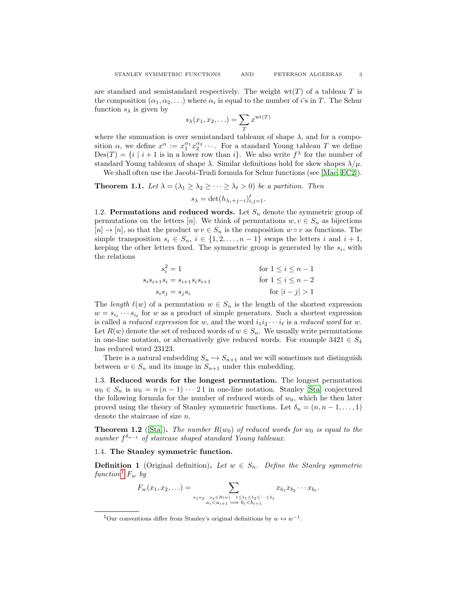are standard and semistandard respectively. The weight  $wt(T)$  of a tableau T is the composition  $(\alpha_1, \alpha_2, \ldots)$  where  $\alpha_i$  is equal to the number of *i*'s in T. The Schur function  $s_\lambda$  is given by

$$
s_{\lambda}(x_1, x_2, \ldots) = \sum_{T} x^{\text{wt}(T)}
$$

where the summation is over semistandard tableaux of shape  $\lambda$ , and for a composition  $\alpha$ , we define  $x^{\alpha} := x_1^{\alpha_1} x_2^{\alpha_2} \cdots$ . For a standard Young tableau T we define  $Des(T) = \{i \mid i+1$  is in a lower row than i. We also write  $f^{\lambda}$  for the number of standard Young tableaux of shape  $\lambda$ . Similar definitions hold for skew shapes  $\lambda/\mu$ .

We shall often use the Jacobi-Trudi formula for Schur functions (see [\[Mac,](#page-28-3) [EC2\]](#page-28-5)).

**Theorem 1.1.** Let  $\lambda = (\lambda_1 \geq \lambda_2 \geq \cdots \geq \lambda_\ell > 0)$  be a partition. Then

$$
s_{\lambda} = \det(h_{\lambda_i+j-i})_{i,j=1}^{\ell}.
$$

<span id="page-2-3"></span>1.2. Permutations and reduced words. Let  $S_n$  denote the symmetric group of permutations on the letters [n]. We think of permutations  $w, v \in S_n$  as bijections  $[n] \to [n]$ , so that the product  $w v \in S_n$  is the composition  $w \circ v$  as functions. The simple transposition  $s_i \in S_n$ ,  $i \in \{1, 2, ..., n-1\}$  swaps the letters i and  $i + 1$ , keeping the other letters fixed. The symmetric group is generated by the  $s_i$ , with the relations

$$
s_i^2 = 1
$$
  
\n
$$
s_i s_{i+1} s_i = s_{i+1} s_i s_{i+1}
$$
  
\nfor  $1 \le i \le n-1$   
\nfor  $1 \le i \le n-2$   
\nfor  $|i - j| > 1$ 

The length  $\ell(w)$  of a permutation  $w \in S_n$  is the length of the shortest expression  $w = s_{i_1} \cdots s_{i_\ell}$  for w as a product of simple generators. Such a shortest expression is called a *reduced expression* for w, and the word  $i_1i_2 \cdots i_\ell$  is a *reduced word* for w. Let  $R(w)$  denote the set of reduced words of  $w \in S_n$ . We usually write permutations in one-line notation, or alternatively give reduced words. For example  $3421 \in S_4$ has reduced word 23123.

There is a natural embedding  $S_n \hookrightarrow S_{n+1}$  and we will sometimes not distinguish between  $w \in S_n$  and its image in  $S_{n+1}$  under this embedding.

1.3. Reduced words for the longest permutation. The longest permutation  $w_0 \in S_n$  is  $w_0 = n(n-1) \cdots 21$  in one-line notation. Stanley [\[Sta\]](#page-28-0) conjectured the following formula for the number of reduced words of  $w_0$ , which he then later proved using the theory of Stanley symmetric functions. Let  $\delta_n = (n, n-1, \ldots, 1)$ denote the staircase of size  $n$ .

<span id="page-2-2"></span>**Theorem 1.2** ([\[Sta\]](#page-28-0)). The number  $R(w_0)$  of reduced words for  $w_0$  is equal to the number  $f^{\delta_{n-1}}$  of staircase shaped standard Young tableaux.

## 1.4. The Stanley symmetric function.

<span id="page-2-1"></span>**Definition 1** (Original definition). Let  $w \in S_n$ . Define the Stanley symmetric function<sup>[1](#page-2-0)</sup>  $F_w$  by

$$
F_w(x_1, x_2, \ldots) = \sum_{\substack{a_1 a_2 \ldots a_\ell \in R(w) - 1 \le b_1 \le b_2 \le \cdots \le b_\ell \\ a_i < a_{i+1} \implies b_i < b_{i+1}}} x_{b_1} x_{b_2} \cdots x_{b_\ell}.
$$

<span id="page-2-0"></span><sup>&</sup>lt;sup>1</sup>Our conventions differ from Stanley's original definitions by  $w \leftrightarrow w^{-1}$ .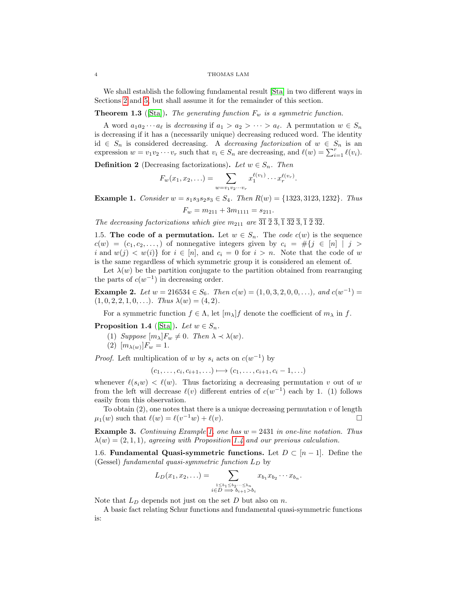#### 4 THOMAS LAM

We shall establish the following fundamental result [\[Sta\]](#page-28-0) in two different ways in Sections [2](#page-4-0) and [5,](#page-14-0) but shall assume it for the remainder of this section.

# <span id="page-3-3"></span>**Theorem 1.3** ([\[Sta\]](#page-28-0)). The generating function  $F_w$  is a symmetric function.

A word  $a_1 a_2 \cdots a_\ell$  is decreasing if  $a_1 > a_2 > \cdots > a_\ell$ . A permutation  $w \in S_n$ is decreasing if it has a (necessarily unique) decreasing reduced word. The identity id ∈  $S_n$  is considered decreasing. A *decreasing factorization* of  $w \text{ } \in S_n$  is an expression  $w = v_1 v_2 \cdots v_r$  such that  $v_i \in S_n$  are decreasing, and  $\ell(w) = \sum_{i=1}^r \ell(v_i)$ .

<span id="page-3-2"></span>**Definition 2** (Decreasing factorizations). Let  $w \in S_n$ . Then

$$
F_w(x_1, x_2, \ldots) = \sum_{w=v_1v_2\cdots v_r} x_1^{\ell(v_1)} \cdots x_r^{\ell(v_r)}.
$$

<span id="page-3-0"></span>**Example 1.** Consider  $w = s_1 s_3 s_2 s_3 \in S_4$ . Then  $R(w) = \{1323, 3123, 1232\}$ . Thus

$$
F_w = m_{211} + 3m_{1111} = s_{211}.
$$

The decreasing factorizations which give  $m_{211}$  are  $\overline{31}$   $\overline{2}$   $\overline{3}$ ,  $\overline{1}$   $\overline{3}$   $\overline{2}$   $\overline{3}$ ,  $\overline{1}$   $\overline{2}$   $\overline{3}$ ,  $\overline{1}$   $\overline{2}$   $\overline{3}$ ,  $\overline{1}$   $\overline{2}$   $\overline{3}$ ,  $\overline{1}$   $\overline{2}$ 

1.5. The code of a permutation. Let  $w \in S_n$ . The *code*  $c(w)$  is the sequence  $c(w) = (c_1, c_2, \ldots)$  of nonnegative integers given by  $c_i = #\{j \in [n] \mid j > i\}$ i and  $w(j) < w(i)$  for  $i \in [n]$ , and  $c_i = 0$  for  $i > n$ . Note that the code of w is the same regardless of which symmetric group it is considered an element of.

Let  $\lambda(w)$  be the partition conjugate to the partition obtained from rearranging the parts of  $c(w^{-1})$  in decreasing order.

**Example 2.** Let  $w = 216534 \in S_6$ . Then  $c(w) = (1, 0, 3, 2, 0, 0, ...)$ , and  $c(w^{-1}) =$  $(1, 0, 2, 2, 1, 0, \ldots)$ . Thus  $\lambda(w) = (4, 2)$ .

For a symmetric function  $f \in \Lambda$ , let  $[m_\lambda] f$  denote the coefficient of  $m_\lambda$  in f.

<span id="page-3-1"></span>**Proposition 1.4** ([\[Sta\]](#page-28-0)). Let  $w \in S_n$ .

- (1) Suppose  $[m_\lambda]F_w \neq 0$ . Then  $\lambda \prec \lambda(w)$ .
- (2)  $[m_{\lambda(w)}]F_w = 1.$

*Proof.* Left multiplication of w by  $s_i$  acts on  $c(w^{-1})$  by

$$
(c_1,\ldots,c_i,c_{i+1},\ldots)\longmapsto (c_1,\ldots,c_{i+1},c_i-1,\ldots)
$$

whenever  $\ell(s_iw) < \ell(w)$ . Thus factorizing a decreasing permutation v out of w from the left will decrease  $\ell(v)$  different entries of  $c(w^{-1})$  each by 1. (1) follows easily from this observation.

To obtain  $(2)$ , one notes that there is a unique decreasing permutation v of length  $\mu_1(w)$  such that  $\ell(w) = \ell(v^{-1}w) + \ell(v)$ .

**Example 3.** Continuing Example [1,](#page-3-0) one has  $w = 2431$  in one-line notation. Thus  $\lambda(w) = (2, 1, 1)$ , agreeing with Proposition [1.4](#page-3-1) and our previous calculation.

1.6. Fundamental Quasi-symmetric functions. Let  $D \subset [n-1]$ . Define the (Gessel) fundamental quasi-symmetric function  $L_D$  by

$$
L_D(x_1, x_2, \ldots) = \sum_{\substack{1 \leq b_1 \leq b_2 \cdots \leq b_n \\ i \in D \implies b_{i+1} > b_i}} x_{b_1} x_{b_2} \cdots x_{b_n}.
$$

Note that  $L_D$  depends not just on the set  $D$  but also on  $n$ .

A basic fact relating Schur functions and fundamental quasi-symmetric functions is: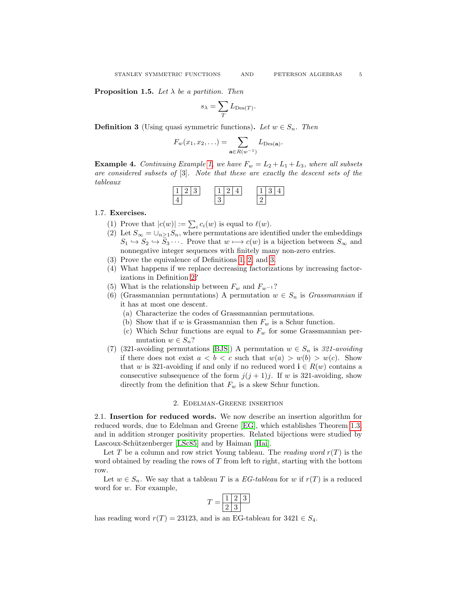<span id="page-4-2"></span>**Proposition 1.5.** Let  $\lambda$  be a partition. Then

$$
s_\lambda = \sum_T L_{\mathrm{Des}(T)}.
$$

<span id="page-4-1"></span>**Definition 3** (Using quasi symmetric functions). Let  $w \in S_n$ . Then

$$
F_w(x_1, x_2, \ldots) = \sum_{\mathbf{a} \in R(w^{-1})} L_{\mathrm{Des}(\mathbf{a})}.
$$

**Example 4.** Continuing Example [1,](#page-3-0) we have  $F_w = L_2 + L_1 + L_3$ , where all subsets are considered subsets of [3]. Note that these are exactly the descent sets of the tableaux

| - |  | -4 |  | -4 |  |
|---|--|----|--|----|--|
|   |  |    |  |    |  |

# <span id="page-4-3"></span>1.7. Exercises.

- (1) Prove that  $|c(w)| := \sum_i c_i(w)$  is equal to  $\ell(w)$ .
- (2) Let  $S_{\infty} = \bigcup_{n \geq 1} S_n$ , where permutations are identified under the embeddings  $S_1 \hookrightarrow S_2 \hookrightarrow S_3 \cdots$ . Prove that  $w \mapsto c(w)$  is a bijection between  $S_{\infty}$  and nonnegative integer sequences with finitely many non-zero entries.
- (3) Prove the equivalence of Definitions [1,](#page-2-1) [2,](#page-3-2) and [3.](#page-4-1)
- (4) What happens if we replace decreasing factorizations by increasing factorizations in Definition [2?](#page-3-2)
- (5) What is the relationship between  $F_w$  and  $F_{w^{-1}}$ ?
- (6) (Grassmannian permutations) A permutation  $w \in S_n$  is Grassmannian if it has at most one descent.
	- (a) Characterize the codes of Grassmannian permutations.
	- (b) Show that if  $w$  is Grassmannian then  $F_w$  is a Schur function.
	- (c) Which Schur functions are equal to  $F_w$  for some Grassmannian permutation  $w \in S_n$ ?
- (7) (321-avoiding permutations [\[BJS\]](#page-26-4)) A permutation  $w \in S_n$  is 321-avoiding if there does not exist  $a < b < c$  such that  $w(a) > w(b) > w(c)$ . Show that w is 321-avoiding if and only if no reduced word  $\mathbf{i} \in R(w)$  contains a consecutive subsequence of the form  $j(j + 1)j$ . If w is 321-avoiding, show directly from the definition that  $F_w$  is a skew Schur function.

#### 2. Edelman-Greene insertion

<span id="page-4-0"></span>2.1. Insertion for reduced words. We now describe an insertion algorithm for reduced words, due to Edelman and Greene [\[EG\]](#page-26-0), which establishes Theorem [1.3,](#page-3-3) and in addition stronger positivity properties. Related bijections were studied by Lascoux-Schützenberger [\[LSc85\]](#page-27-11) and by Haiman [\[Hai\]](#page-27-12).

Let T be a column and row strict Young tableau. The *reading word*  $r(T)$  is the word obtained by reading the rows of  $T$  from left to right, starting with the bottom row.

Let  $w \in S_n$ . We say that a tableau T is a EG-tableau for w if  $r(T)$  is a reduced word for w. For example,

$$
T = \boxed{\frac{1}{2} \cdot \frac{2}{3}}
$$

has reading word  $r(T) = 23123$ , and is an EG-tableau for  $3421 \in S_4$ .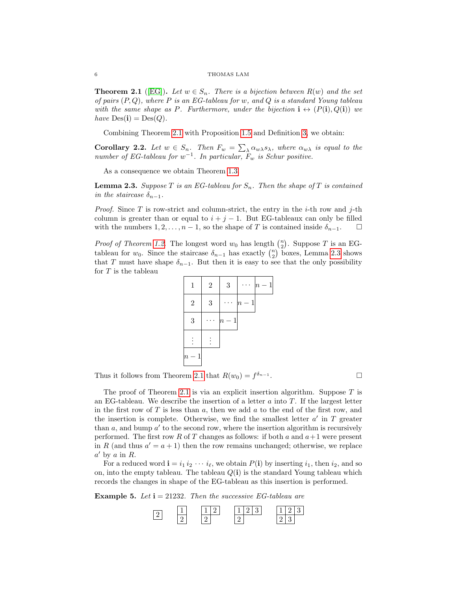#### $6\,$   $\,$  THOMAS LAM

<span id="page-5-0"></span>**Theorem 2.1** ([\[EG\]](#page-26-0)). Let  $w \in S_n$ . There is a bijection between  $R(w)$  and the set of pairs  $(P,Q)$ , where P is an EG-tableau for w, and Q is a standard Young tableau with the same shape as P. Furthermore, under the bijection  $i \leftrightarrow (P(i), Q(i))$  we have  $Des(i) = Des(Q)$ .

Combining Theorem [2.1](#page-5-0) with Proposition [1.5](#page-4-2) and Definition [3,](#page-4-1) we obtain:

<span id="page-5-2"></span>**Corollary 2.2.** Let  $w \in S_n$ . Then  $F_w = \sum_{\lambda} \alpha_{w\lambda} s_{\lambda}$ , where  $\alpha_{w\lambda}$  is equal to the number of EG-tableau for  $w^{-1}$ . In particular,  $F_w$  is Schur positive.

As a consequence we obtain Theorem [1.3.](#page-3-3)

<span id="page-5-1"></span>**Lemma 2.3.** Suppose T is an EG-tableau for  $S_n$ . Then the shape of T is contained in the staircase  $\delta_{n-1}$ .

*Proof.* Since T is row-strict and column-strict, the entry in the *i*-th row and *j*-th column is greater than or equal to  $i + j - 1$ . But EG-tableaux can only be filled with the numbers  $1, 2, \ldots, n-1$ , so the shape of T is contained inside  $\delta_{n-1}$ .  $\Box$ 

*Proof of Theorem [1.2.](#page-2-2)* The longest word  $w_0$  has length  $\binom{n}{2}$ . Suppose T is an EGtableau for  $w_0$ . Since the staircase  $\delta_{n-1}$  has exactly  $\binom{n}{2}$  boxes, Lemma [2.3](#page-5-1) shows that T must have shape  $\delta_{n-1}$ . But then it is easy to see that the only possibility for  $T$  is the tableau



Thus it follows from Theorem [2.1](#page-5-0) that  $R(w_0) = f^{\delta_{n-1}}$ . — Процессиональные производствование и производствование и производствование и производствование и производс<br>В 1990 году в 1990 году в 1990 году в 1990 году в 1990 году в 1990 году в 1990 году в 1990 году в 1990 году в<br>

The proof of Theorem [2.1](#page-5-0) is via an explicit insertion algorithm. Suppose  $T$  is an EG-tableau. We describe the insertion of a letter  $a$  into  $T$ . If the largest letter in the first row of  $T$  is less than  $a$ , then we add  $a$  to the end of the first row, and the insertion is complete. Otherwise, we find the smallest letter  $a'$  in  $T$  greater than  $a$ , and bump  $a'$  to the second row, where the insertion algorithm is recursively performed. The first row R of T changes as follows: if both a and  $a+1$  were present in R (and thus  $a' = a + 1$ ) then the row remains unchanged; otherwise, we replace  $a'$  by a in R.

For a reduced word  $\mathbf{i} = i_1 i_2 \cdots i_\ell$ , we obtain  $P(\mathbf{i})$  by inserting  $i_1$ , then  $i_2$ , and so on, into the empty tableau. The tableau  $Q(i)$  is the standard Young tableau which records the changes in shape of the EG-tableau as this insertion is performed.

**Example 5.** Let  $i = 21232$ . Then the successive EG-tableau are

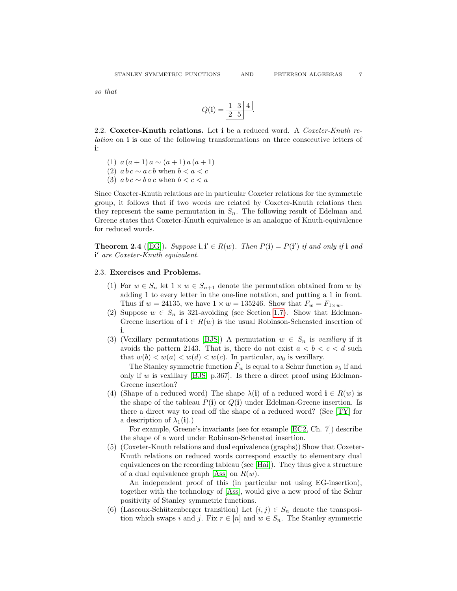so that

$$
Q(\mathbf{i}) = \frac{1 \ 3 \ 4}{2 \ 5}.
$$

2.2. Coxeter-Knuth relations. Let i be a reduced word. A Coxeter-Knuth relation on i is one of the following transformations on three consecutive letters of i:

- (1)  $a(a+1)a \sim (a+1)a(a+1)$
- (2)  $a b c \sim a c b$  when  $b < a < c$
- (3)  $a b c \sim b a c$  when  $b < c < a$

Since Coxeter-Knuth relations are in particular Coxeter relations for the symmetric group, it follows that if two words are related by Coxeter-Knuth relations then they represent the same permutation in  $S_n$ . The following result of Edelman and Greene states that Coxeter-Knuth equivalence is an analogue of Knuth-equivalence for reduced words.

<span id="page-6-2"></span>**Theorem 2.4** ([\[EG\]](#page-26-0)). Suppose  $\mathbf{i}, \mathbf{i}' \in R(w)$ . Then  $P(\mathbf{i}) = P(\mathbf{i}')$  if and only if  $\mathbf{i}$  and i' are Coxeter-Knuth equivalent.

# <span id="page-6-0"></span>2.3. Exercises and Problems.

- (1) For  $w \in S_n$  let  $1 \times w \in S_{n+1}$  denote the permutation obtained from w by adding 1 to every letter in the one-line notation, and putting a 1 in front. Thus if  $w = 24135$ , we have  $1 \times w = 135246$ . Show that  $F_w = F_{1 \times w}$ .
- (2) Suppose  $w \in S_n$  is 321-avoiding (see Section [1.7\)](#page-4-3). Show that Edelman-Greene insertion of  $\mathbf{i} \in R(w)$  is the usual Robinson-Schensted insertion of i.
- (3) (Vexillary permutations [\[BJS\]](#page-26-4)) A permutation  $w \in S_n$  is vexillary if it avoids the pattern 2143. That is, there do not exist  $a < b < c < d$  such that  $w(b) < w(a) < w(d) < w(c)$ . In particular,  $w_0$  is vexillary.

The Stanley symmetric function  $F_w$  is equal to a Schur function  $s_\lambda$  if and only if w is vexillary [\[BJS,](#page-26-4) p.367]. Is there a direct proof using Edelman-Greene insertion?

(4) (Shape of a reduced word) The shape  $\lambda(i)$  of a reduced word  $i \in R(w)$  is the shape of the tableau  $P(i)$  or  $Q(i)$  under Edelman-Greene insertion. Is there a direct way to read off the shape of a reduced word? (See [\[TY\]](#page-28-6) for a description of  $\lambda_1(i)$ .)

For example, Greene's invariants (see for example [\[EC2,](#page-28-5) Ch. 7]) describe the shape of a word under Robinson-Schensted insertion.

<span id="page-6-1"></span>(5) (Coxeter-Knuth relations and dual equivalence (graphs)) Show that Coxeter-Knuth relations on reduced words correspond exactly to elementary dual equivalences on the recording tableau (see [\[Hai\]](#page-27-12)). They thus give a structure of a dual equivalence graph [\[Ass\]](#page-26-8) on  $R(w)$ .

An independent proof of this (in particular not using EG-insertion), together with the technology of [\[Ass\]](#page-26-8), would give a new proof of the Schur positivity of Stanley symmetric functions.

(6) (Lascoux-Schützenberger transition) Let  $(i, j) \in S_n$  denote the transposition which swaps i and j. Fix  $r \in [n]$  and  $w \in S_n$ . The Stanley symmetric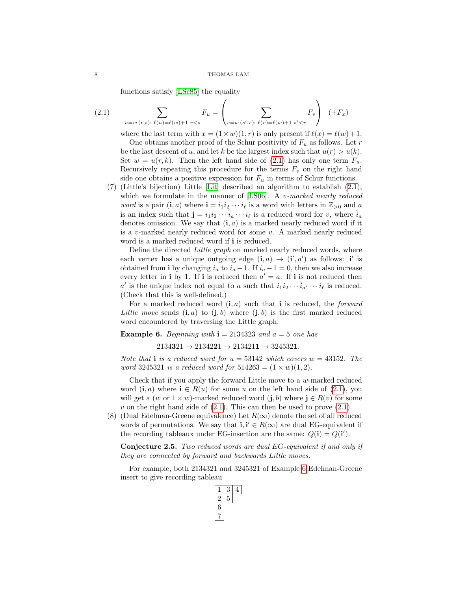<span id="page-7-0"></span>functions satisfy [\[LSc85\]](#page-27-11) the equality

(2.1) 
$$
\sum_{u=w(r,s):\ \ell(u)=\ell(w)+1} F_u = \left(\sum_{v=w(s',r):\ \ell(v)=\ell(w)+1 \ s'
$$

where the last term with  $x = (1 \times w)(1, r)$  is only present if  $\ell(x) = \ell(w)+1$ . One obtains another proof of the Schur positivity of  $F_u$  as follows. Let r be the last descent of u, and let k be the largest index such that  $u(r) > u(k)$ . Set  $w = u(r, k)$ . Then the left hand side of [\(2.1\)](#page-7-0) has only one term  $F_u$ . Recursively repeating this procedure for the terms  $F_v$  on the right hand side one obtains a positive expression for  $F_u$  in terms of Schur functions.

(7) (Little's bijection) Little [\[Lit\]](#page-28-7) described an algorithm to establish [\(2.1\)](#page-7-0), which we formulate in the manner of  $[LS06]$ . A v-marked nearly reduced *word* is a pair  $(i, a)$  where  $i = i_1 i_2 \cdots i_\ell$  is a word with letters in  $\mathbb{Z}_{>0}$  and a is an index such that  $\mathbf{j} = i_1 i_2 \cdots \hat{i}_a \cdots i_\ell$  is a reduced word for v, where  $\hat{i}_a$ denotes omission. We say that  $(i, a)$  is a marked nearly reduced word if it is a v-marked nearly reduced word for some  $v$ . A marked nearly reduced word is a marked reduced word if i is reduced.

Define the directed Little graph on marked nearly reduced words, where each vertex has a unique outgoing edge  $(i, a) \rightarrow (i', a')$  as follows: i' is obtained from i by changing  $i_a$  to  $i_a - 1$ . If  $i_a - 1 = 0$ , then we also increase every letter in **i** by 1. If **i** is reduced then  $a' = a$ . If **i** is not reduced then a' is the unique index not equal to a such that  $i_1 i_2 \cdots \hat{i}_{a'} \cdots i_{\ell}$  is reduced. (Check that this is well-defined.)

For a marked reduced word  $(i, a)$  such that i is reduced, the *forward* Little move sends  $(i, a)$  to  $(j, b)$  where  $(j, b)$  is the first marked reduced word encountered by traversing the Little graph.

#### <span id="page-7-1"></span>**Example 6.** Beginning with  $i = 2134323$  and  $a = 5$  one has

 $2134321 \rightarrow 2134221 \rightarrow 2134211 \rightarrow 3245321.$ 

Note that i is a reduced word for  $u = 53142$  which covers  $w = 43152$ . The word 3245321 is a reduced word for  $514263 = (1 \times w)(1, 2)$ .

Check that if you apply the forward Little move to a w-marked reduced word  $(i, a)$  where  $i \in R(u)$  for some u on the left hand side of  $(2.1)$ , you will get a (w or  $1 \times w$ )-marked reduced word  $(j, b)$  where  $j \in R(v)$  for some v on the right hand side of  $(2.1)$ . This can then be used to prove  $(2.1)$ .

(8) (Dual Edelman-Greene equivalence) Let  $R(\infty)$  denote the set of all reduced words of permutations. We say that  $\mathbf{i}, \mathbf{i}' \in R(\infty)$  are dual EG-equivalent if the recording tableaux under EG-insertion are the same:  $Q(i) = Q(i')$ .

Conjecture 2.5. Two reduced words are dual EG-equivalent if and only if they are connected by forward and backwards Little moves.

For example, both 2134321 and 3245321 of Example [6](#page-7-1) Edelman-Greene insert to give recording tableau

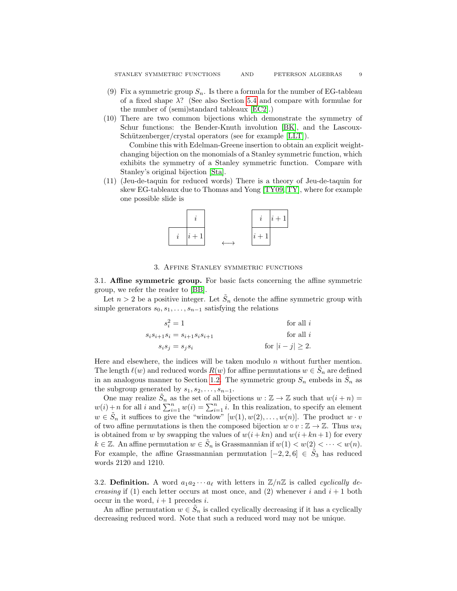- <span id="page-8-1"></span>(9) Fix a symmetric group  $S_n$ . Is there a formula for the number of EG-tableau of a fixed shape  $\lambda$ ? (See also Section [5.4](#page-16-0) and compare with formulae for the number of (semi)standard tableaux [\[EC2\]](#page-28-5).)
- (10) There are two common bijections which demonstrate the symmetry of Schur functions: the Bender-Knuth involution [\[BK\]](#page-26-9), and the Lascoux-Schützenberger/crystal operators (see for example [\[LLT\]](#page-27-14)).

Combine this with Edelman-Greene insertion to obtain an explicit weightchanging bijection on the monomials of a Stanley symmetric function, which exhibits the symmetry of a Stanley symmetric function. Compare with Stanley's original bijection [\[Sta\]](#page-28-0).

(11) (Jeu-de-taquin for reduced words) There is a theory of Jeu-de-taquin for skew EG-tableaux due to Thomas and Yong [\[TY09,](#page-28-8) [TY\]](#page-28-6), where for example one possible slide is



# 3. Affine Stanley symmetric functions

<span id="page-8-0"></span>3.1. Affine symmetric group. For basic facts concerning the affine symmetric group, we refer the reader to [\[BB\]](#page-26-10).

Let  $n > 2$  be a positive integer. Let  $\tilde{S}_n$  denote the affine symmetric group with simple generators  $s_0, s_1, \ldots, s_{n-1}$  satisfying the relations

| $s_i^2 = 1$                             | for all $i$           |
|-----------------------------------------|-----------------------|
| $s_i s_{i+1} s_i = s_{i+1} s_i s_{i+1}$ | for all $i$           |
| $s_i s_j = s_j s_i$                     | for $ i - j  \ge 2$ . |

Here and elsewhere, the indices will be taken modulo  $n$  without further mention. The length  $\ell(w)$  and reduced words  $R(w)$  for affine permutations  $w \in \tilde{S}_n$  are defined in an analogous manner to Section [1.2.](#page-2-3) The symmetric group  $S_n$  embeds in  $\tilde{S}_n$  as the subgroup generated by  $s_1, s_2, \ldots, s_{n-1}$ .

One may realize  $\tilde{S}_n$  as the set of all bijections  $w : \mathbb{Z} \to \mathbb{Z}$  such that  $w(i+n) =$  $w(i) + n$  for all i and  $\sum_{i=1}^{n} w(i) = \sum_{i=1}^{n} i$ . In this realization, to specify an element  $w \in \tilde{S}_n$  it suffices to give the "window"  $[w(1), w(2), \ldots, w(n)]$ . The product  $w \cdot v$ of two affine permutations is then the composed bijection  $w \circ v : \mathbb{Z} \to \mathbb{Z}$ . Thus  $ws_i$ is obtained from w by swapping the values of  $w(i + kn)$  and  $w(i + kn + 1)$  for every  $k \in \mathbb{Z}$ . An affine permutation  $w \in \tilde{S}_n$  is Grassmannian if  $w(1) < w(2) < \cdots < w(n)$ . For example, the affine Grassmannian permutation  $[-2, 2, 6] \in \tilde{S}_3$  has reduced words 2120 and 1210.

3.2. Definition. A word  $a_1a_2\cdots a_\ell$  with letters in  $\mathbb{Z}/n\mathbb{Z}$  is called *cyclically decreasing* if (1) each letter occurs at most once, and (2) whenever i and  $i + 1$  both occur in the word,  $i + 1$  precedes i.

An affine permutation  $w \in \tilde{S}_n$  is called cyclically decreasing if it has a cyclically decreasing reduced word. Note that such a reduced word may not be unique.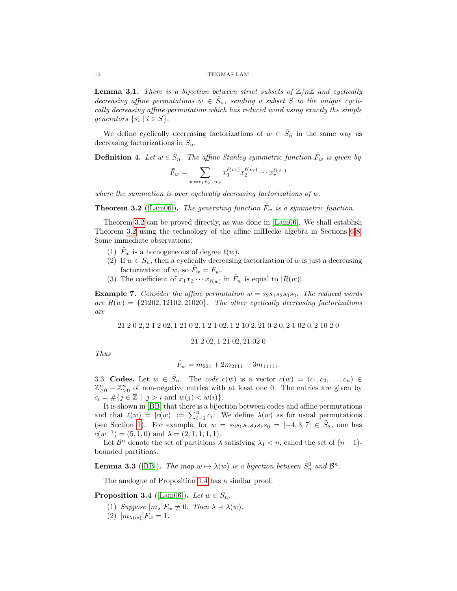**Lemma 3.1.** There is a bijection between strict subsets of  $\mathbb{Z}/n\mathbb{Z}$  and cyclically decreasing affine permutations  $w \in \tilde{S}_n$ , sending a subset S to the unique cyclically decreasing affine permutation which has reduced word using exactly the simple generators  $\{s_i \mid i \in S\}.$ 

We define cyclically decreasing factorizations of  $w \in \tilde{S}_n$  in the same way as decreasing factorizations in  $S_n$ .

**Definition 4.** Let  $w \in \tilde{S}_n$ . The affine Stanley symmetric function  $\tilde{F}_w$  is given by

$$
\tilde{F}_w = \sum_{w = v_1 v_2 \cdots v_r} x_1^{\ell(v_1)} x_2^{\ell(v_2)} \cdots x_r^{\ell(v_r)}
$$

where the summation is over cyclically decreasing factorizations of w.

<span id="page-9-0"></span>**Theorem 3.2** ([\[Lam06\]](#page-27-1)). The generating function  $\tilde{F}_w$  is a symmetric function.

Theorem [3.2](#page-9-0) can be proved directly, as was done in [\[Lam06\]](#page-27-1). We shall establish Theorem [3.2](#page-9-0) using the technology of the affine nilHecke algebra in Sections [6-](#page-17-0)[8.](#page-21-0) Some immediate observations:

- (1)  $\tilde{F}_w$  is a homogeneous of degree  $\ell(w)$ .
- (2) If  $w \in S_n$ , then a cyclically decreasing factorization of w is just a decreasing factorization of w, so  $F_w = F_w$ .
- (3) The coefficient of  $x_1 x_2 \cdots x_{\ell(w)}$  in  $\tilde{F}_w$  is equal to  $|R(w)|$ .

<span id="page-9-2"></span>**Example 7.** Consider the affine permutation  $w = s_2s_1s_2s_0s_2$ . The reduced words are  $R(w) = \{21202, 12102, 21020\}$ . The other cyclically decreasing factorizations are

 $\overline{21}\ \overline{2}\ \overline{0}\ \overline{2}, \overline{2}\ \overline{1}\ \overline{2}\ \overline{02}, \overline{1}\ \overline{21}\ \overline{0}\ \overline{2}, \overline{1}\ \overline{2}\ \overline{1}\ \overline{02}, \overline{1}\ \overline{2}\ \overline{10}\ \overline{2}, \overline{21}\ \overline{0}\ \overline{2}\ \overline{0}, \overline{2}\ \overline{1}\ \overline{02}\ \overline{0}, \overline{2}\ \overline{10}\ \overline{2}\ \overline{0}$ 

# $\overline{21}$   $\overline{2}$   $\overline{02}$ ,  $\overline{1}$   $\overline{21}$   $\overline{02}$ ,  $\overline{21}$   $\overline{02}$   $\overline{0}$

Thus

$$
\tilde{F}_w = m_{221} + 2m_{2111} + 3m_{11111}.
$$

3.3. Codes. Let  $w \in \tilde{S}_n$ . The code  $c(w)$  is a vector  $c(w) = (c_1, c_2, \ldots, c_n) \in$  $\mathbb{Z}_{\geq 0}^n - \mathbb{Z}_{\geq 0}^n$  of non-negative entries with at least one 0. The entries are given by  $c_i = #\{j \in \mathbb{Z} \mid j > i \text{ and } w(j) < w(i)\}.$ 

It is shown in [\[BB\]](#page-26-10) that there is a bijection between codes and affine permutations and that  $\ell(w) = |c(w)| := \sum_{i=1}^n c_i$ . We define  $\lambda(w)$  as for usual permutations (see Section [1\)](#page-1-0). For example, for  $w = s_2s_0s_1s_2s_1s_0 = [-4, 3, 7] \in \tilde{S}_3$ , one has  $c(w^{-1}) = (5, 1, 0)$  and  $\lambda = (2, 1, 1, 1, 1)$ .

Let  $\mathcal{B}^n$  denote the set of partitions  $\lambda$  satisfying  $\lambda_1 < n$ , called the set of  $(n-1)$ bounded partitions.

**Lemma 3.3** ([\[BB\]](#page-26-10)). The map  $w \mapsto \lambda(w)$  is a bijection between  $\tilde{S}_n^0$  and  $\mathcal{B}^n$ .

The analogue of Proposition [1.4](#page-3-1) has a similar proof.

<span id="page-9-1"></span>**Proposition 3.4** ([\[Lam06\]](#page-27-1)). Let  $w \in \tilde{S}_n$ .

- (1) Suppose  $[m_\lambda]F_w \neq 0$ . Then  $\lambda \prec \lambda(w)$ .
- (2)  $[m_{\lambda(w)}]F_w = 1.$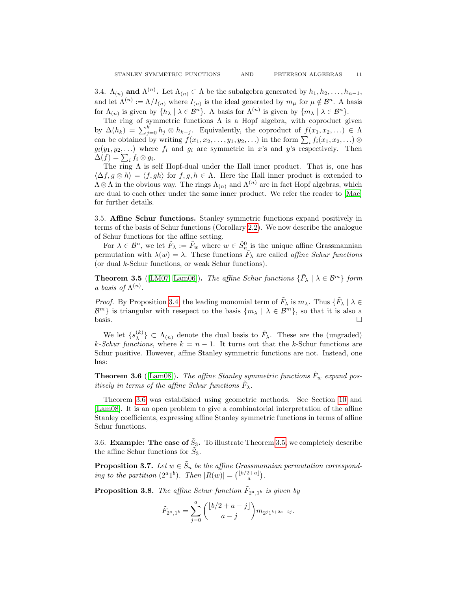The ring of symmetric functions  $\Lambda$  is a Hopf algebra, with coproduct given by  $\Delta(h_k) = \sum_{j=0}^k h_j \otimes h_{k-j}$ . Equivalently, the coproduct of  $f(x_1, x_2, ...) \in \Lambda$ can be obtained by writing  $f(x_1, x_2, \ldots, y_1, y_2, \ldots)$  in the form  $\sum_i f_i(x_1, x_2, \ldots) \otimes f_i(x_i, y_i)$  $g_i(y_1, y_2, \ldots)$  where  $f_i$  and  $g_i$  are symmetric in x's and y's respectively. Then  $\Delta(f) = \sum_i f_i \otimes g_i.$ 

The ring  $\Lambda$  is self Hopf-dual under the Hall inner product. That is, one has  $\langle \Delta f, g \otimes h \rangle = \langle f, gh \rangle$  for  $f, g, h \in \Lambda$ . Here the Hall inner product is extended to  $\Lambda \otimes \Lambda$  in the obvious way. The rings  $\Lambda_{(n)}$  and  $\Lambda^{(n)}$  are in fact Hopf algebras, which are dual to each other under the same inner product. We refer the reader to [\[Mac\]](#page-28-3) for further details.

3.5. Affine Schur functions. Stanley symmetric functions expand positively in terms of the basis of Schur functions (Corollary [2.2\)](#page-5-2). We now describe the analogue of Schur functions for the affine setting.

For  $\lambda \in \mathcal{B}^n$ , we let  $\tilde{F}_{\lambda} := \tilde{F}_w$  where  $w \in \tilde{S}_n^0$  is the unique affine Grassmannian permutation with  $\lambda(w) = \lambda$ . These functions  $\tilde{F}_{\lambda}$  are called *affine Schur functions* (or dual k-Schur functions, or weak Schur functions).

<span id="page-10-1"></span>**Theorem 3.5** ([\[LM07,](#page-27-10) [Lam06\]](#page-27-1)). The affine Schur functions  $\{\tilde{F}_{\lambda} \mid \lambda \in \mathcal{B}^m\}$  form a basis of  $\Lambda^{(n)}$ .

*Proof.* By Proposition [3.4,](#page-9-1) the leading monomial term of  $\tilde{F}_{\lambda}$  is  $m_{\lambda}$ . Thus  $\{\tilde{F}_{\lambda} \mid \lambda \in$  $\mathcal{B}^m$ } is triangular with resepect to the basis  $\{m_\lambda \mid \lambda \in \mathcal{B}^m\}$ , so that it is also a  $\Box$ 

We let  $\{s_\lambda^{(k)}\}$  $\{\kappa^{(k)}\}\subset \Lambda_{(n)}$  denote the dual basis to  $\tilde{F}_{\lambda}$ . These are the (ungraded) k-Schur functions, where  $k = n - 1$ . It turns out that the k-Schur functions are Schur positive. However, affine Stanley symmetric functions are not. Instead, one has:

<span id="page-10-0"></span>**Theorem 3.6** ([\[Lam08\]](#page-27-2)). The affine Stanley symmetric functions  $\bar{F}_w$  expand positively in terms of the affine Schur functions  $\tilde{F}_{\lambda}$ .

Theorem [3.6](#page-10-0) was established using geometric methods. See Section [10](#page-26-3) and [\[Lam08\]](#page-27-2). It is an open problem to give a combinatorial interpretation of the affine Stanley coefficients, expressing affine Stanley symmetric functions in terms of affine Schur functions.

3.6. Example: The case of  $\tilde{S}_3$ . To illustrate Theorem [3.5,](#page-10-1) we completely describe the affine Schur functions for  $\tilde{S}_3$ .

<span id="page-10-3"></span>**Proposition 3.7.** Let  $w \in \tilde{S}_n$  be the affine Grassmannian permutation corresponding to the partition  $(2^a 1^b)$ . Then  $|R(w)| = {b/2+a \choose a}$ .

<span id="page-10-2"></span>**Proposition 3.8.** The affine Schur function  $\tilde{F}_{2^a,1^b}$  is given by

$$
\tilde{F}_{2^a,1^b} = \sum_{j=0}^a \binom{\lfloor b/2+a-j \rfloor}{a-j} m_{2^j 1^{b+2a-2j}}.
$$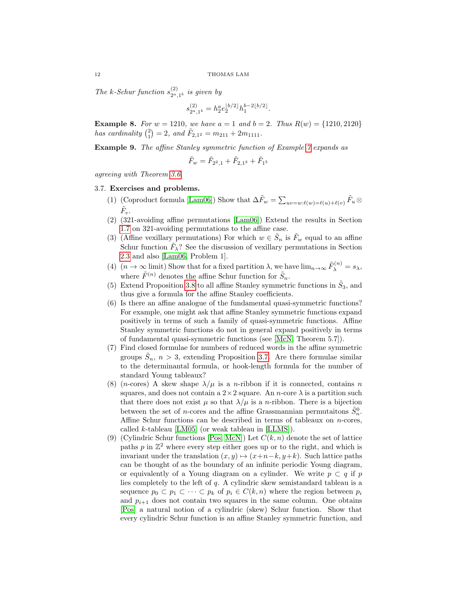The k-Schur function  $s_{2a}^{(2)}$  $\sum_{2^a,1^b}^{(2)}$  is given by

$$
s_{2^a,1^b}^{(2)} = h_2^a e_2^{\lfloor b/2 \rfloor} h_1^{b-2\lfloor b/2 \rfloor}.
$$

**Example 8.** For  $w = 1210$ , we have  $a = 1$  and  $b = 2$ . Thus  $R(w) = \{1210, 2120\}$ has cardinality  $\binom{2}{1} = 2$ , and  $\tilde{F}_{2,1^2} = m_{211} + 2m_{1111}$ .

Example 9. The affine Stanley symmetric function of Example [7](#page-9-2) expands as

$$
\tilde{F}_w = \tilde{F}_{2^2,1} + \tilde{F}_{2,1^3} + \tilde{F}_{1^5}
$$

agreeing with Theorem [3.6.](#page-10-0)

# 3.7. Exercises and problems.

- (1) (Coproduct formula [\[Lam06\]](#page-27-1)) Show that  $\Delta \tilde{F}_w = \sum_{uv=w:\ell(w)=\ell(u)+\ell(v)} \tilde{F}_u \otimes$  $\tilde{F}_v.$
- (2) (321-avoiding affine permutations [\[Lam06\]](#page-27-1)) Extend the results in Section [1.7](#page-4-3) on 321-avoiding permutations to the affine case.
- (3) (Affine vexillary permutations) For which  $w \in \tilde{S}_n$  is  $\tilde{F}_w$  equal to an affine Schur function  $\tilde{F}_{\lambda}$ ? See the discussion of vexillary permutations in Section [2.3](#page-6-0) and also [\[Lam06,](#page-27-1) Problem 1].
- <span id="page-11-0"></span>(4)  $(n \to \infty \text{ limit})$  Show that for a fixed partition  $\lambda$ , we have  $\lim_{n \to \infty} \tilde{F}_{\lambda}^{(n)} = s_{\lambda}$ , where  $\tilde{F}^{(n)}$  denotes the affine Schur function for  $\tilde{S}_n$ .
- (5) Extend Proposition [3.8](#page-10-2) to all affine Stanley symmetric functions in  $\tilde{S}_3$ , and thus give a formula for the affine Stanley coefficients.
- (6) Is there an affine analogue of the fundamental quasi-symmetric functions? For example, one might ask that affine Stanley symmetric functions expand positively in terms of such a family of quasi-symmetric functions. Affine Stanley symmetric functions do not in general expand positively in terms of fundamental quasi-symmetric functions (see [\[McN,](#page-28-9) Theorem 5.7]).
- (7) Find closed formulae for numbers of reduced words in the affine symmetric groups  $\tilde{S}_n$ ,  $n > 3$ , extending Proposition [3.7.](#page-10-3) Are there formulae similar to the determinantal formula, or hook-length formula for the number of standard Young tableaux?
- (8) (*n*-cores) A skew shape  $\lambda/\mu$  is a *n*-ribbon if it is connected, contains *n* squares, and does not contain a  $2 \times 2$  square. An *n*-core  $\lambda$  is a partition such that there does not exist  $\mu$  so that  $\lambda/\mu$  is a *n*-ribbon. There is a bijection between the set of *n*-cores and the affine Grassmannian permutaitons  $\tilde{S}_n^0$ . Affine Schur functions can be described in terms of tableaux on  $n$ -cores, called k-tableau  $[LM05]$  (or weak tableau in  $[LLMS]$ ).
- (9) (Cylindric Schur functions [\[Pos,](#page-28-10) [McN\]](#page-28-9)) Let  $C(k, n)$  denote the set of lattice paths  $p$  in  $\mathbb{Z}^2$  where every step either goes up or to the right, and which is invariant under the translation  $(x, y) \mapsto (x+n-k, y+k)$ . Such lattice paths can be thought of as the boundary of an infinite periodic Young diagram, or equivalently of a Young diagram on a cylinder. We write  $p \subset q$  if p lies completely to the left of q. A cylindric skew semistandard tableau is a sequence  $p_0 \subset p_1 \subset \cdots \subset p_k$  of  $p_i \in C(k, n)$  where the region between  $p_i$ and  $p_{i+1}$  does not contain two squares in the same column. One obtains [\[Pos\]](#page-28-10) a natural notion of a cylindric (skew) Schur function. Show that every cylindric Schur function is an affine Stanley symmetric function, and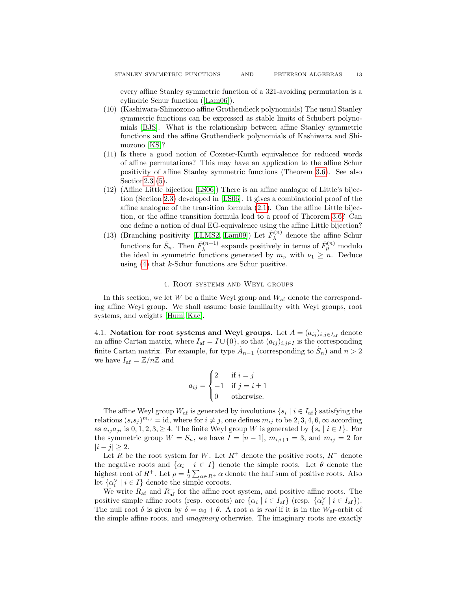every affine Stanley symmetric function of a 321-avoiding permutation is a cylindric Schur function ([\[Lam06\]](#page-27-1)).

- (10) (Kashiwara-Shimozono affine Grothendieck polynomials) The usual Stanley symmetric functions can be expressed as stable limits of Schubert polynomials [\[BJS\]](#page-26-4). What is the relationship between affine Stanley symmetric functions and the affine Grothendieck polynomials of Kashiwara and Shimozono [\[KS\]](#page-27-16)?
- (11) Is there a good notion of Coxeter-Knuth equivalence for reduced words of affine permutations? This may have an application to the affine Schur positivity of affine Stanley symmetric functions (Theorem [3.6\)](#page-10-0). See also Sectio[n2.3](#page-6-0) [\(5\)](#page-6-1).
- (12) (Affine Little bijection [\[LS06\]](#page-27-13)) There is an affine analogue of Little's bijection (Section [2.3\)](#page-6-0) developed in [\[LS06\]](#page-27-13). It gives a combinatorial proof of the affine analogue of the transition formula [\(2.1\)](#page-7-0). Can the affine Little bijection, or the affine transition formula lead to a proof of Theorem [3.6?](#page-10-0) Can one define a notion of dual EG-equivalence using the affine Little bijection?
- (13) (Branching positivity [\[LLMS2,](#page-27-17) [Lam09\]](#page-27-18)) Let  $\tilde{F}_{\lambda}^{(n)}$  $\lambda^{(n)}$  denote the affine Schur functions for  $\tilde{S}_n$ . Then  $\tilde{F}_{\lambda}^{(n+1)}$  $\lambda^{(n+1)}$  expands positively in terms of  $\tilde{F}_{\mu}^{(n)}$  modulo the ideal in symmetric functions generated by  $m_{\nu}$  with  $\nu_1 \geq n$ . Deduce using  $(4)$  that k-Schur functions are Schur positive.

# 4. Root systems and Weyl groups

<span id="page-12-0"></span>In this section, we let  $W$  be a finite Weyl group and  $W_{\text{af}}$  denote the corresponding affine Weyl group. We shall assume basic familiarity with Weyl groups, root systems, and weights [\[Hum,](#page-27-19) [Kac\]](#page-27-20).

4.1. Notation for root systems and Weyl groups. Let  $A = (a_{ij})_{i,j \in I_{\text{af}}}$  denote an affine Cartan matrix, where  $I_{af} = I \cup \{0\}$ , so that  $(a_{ij})_{i,j \in I}$  is the corresponding finite Cartan matrix. For example, for type  $\tilde{A}_{n-1}$  (corresponding to  $\tilde{S}_n$ ) and  $n > 2$ we have  $I_{\text{af}} = \mathbb{Z}/n\mathbb{Z}$  and

$$
a_{ij} = \begin{cases} 2 & \text{if } i = j \\ -1 & \text{if } j = i \pm 1 \\ 0 & \text{otherwise.} \end{cases}
$$

The affine Weyl group  $W_{\text{af}}$  is generated by involutions  $\{s_i \mid i \in I_{\text{af}}\}$  satisfying the relations  $(s_i s_j)^{m_{ij}} = id$ , where for  $i \neq j$ , one defines  $m_{ij}$  to be 2, 3, 4, 6,  $\infty$  according as  $a_{ij}a_{ji}$  is  $0, 1, 2, 3, \ge 4$ . The finite Weyl group W is generated by  $\{s_i \mid i \in I\}$ . For the symmetric group  $W = S_n$ , we have  $I = [n-1]$ ,  $m_{i,i+1} = 3$ , and  $m_{ij} = 2$  for  $|i - j|$  ≥ 2.

Let R be the root system for W. Let  $R^+$  denote the positive roots,  $R^-$  denote the negative roots and  $\{\alpha_i \mid i \in I\}$  denote the simple roots. Let  $\theta$  denote the highest root of  $R^+$ . Let  $\rho = \frac{1}{2} \sum_{\alpha \in R^+} \alpha$  denote the half sum of positive roots. Also let  $\{\alpha_i^\vee \mid i \in I\}$  denote the simple coroots.

We write  $R_{\text{af}}$  and  $R_{\text{af}}^{+}$  for the affine root system, and positive affine roots. The positive simple affine roots (resp. coroots) are  $\{\alpha_i \mid i \in I_{af}\}$  (resp.  $\{\alpha_i^{\vee} \mid i \in I_{af}\}$ ). The null root  $\delta$  is given by  $\delta = \alpha_0 + \theta$ . A root  $\alpha$  is real if it is in the  $W_{\text{af}}$ -orbit of the simple affine roots, and imaginary otherwise. The imaginary roots are exactly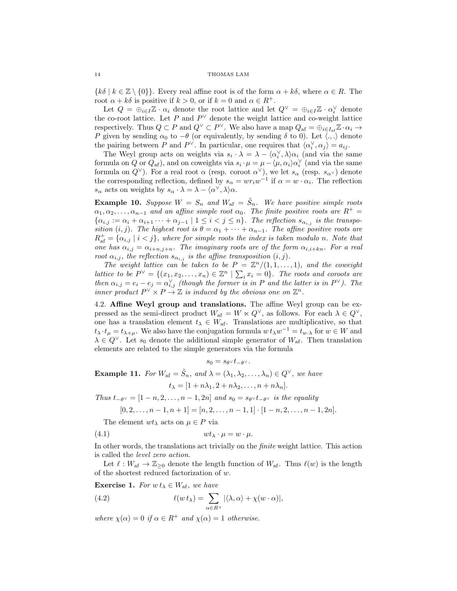${k\delta | k \in \mathbb{Z} \setminus \{0\}}$ . Every real affine root is of the form  $\alpha + k\delta$ , where  $\alpha \in R$ . The root  $\alpha + k\delta$  is positive if  $k > 0$ , or if  $k = 0$  and  $\alpha \in R^+$ .

Let  $Q = \bigoplus_{i \in I} \mathbb{Z} \cdot \alpha_i$  denote the root lattice and let  $Q^{\vee} = \bigoplus_{i \in I} \mathbb{Z} \cdot \alpha_i^{\vee}$  denote the co-root lattice. Let P and  $P^{\vee}$  denote the weight lattice and co-weight lattice respectively. Thus  $Q \subset P$  and  $Q^{\vee} \subset P^{\vee}$ . We also have a map  $Q_{\text{af}} = \bigoplus_{i \in I_{\text{af}}} Z \cdot \alpha_i \to$ P given by sending  $\alpha_0$  to  $-\theta$  (or equivalently, by sending  $\delta$  to 0). Let  $\langle ., . \rangle$  denote the pairing between P and  $P^{\vee}$ . In particular, one requires that  $\langle \alpha_i^{\vee}, \alpha_j \rangle = a_{ij}$ .

The Weyl group acts on weights via  $s_i \cdot \lambda = \lambda - \langle \alpha_i^{\vee}, \lambda \rangle \alpha_i$  (and via the same formula on Q or  $Q_{af}$ ), and on coweights via  $s_i \cdot \mu = \mu - \langle \mu, \alpha_i \rangle \alpha_i^{\vee}$  (and via the same formula on  $Q^{\vee}$ ). For a real root  $\alpha$  (resp. coroot  $\alpha^{\vee}$ ), we let  $s_{\alpha}$  (resp.  $s_{\alpha^{\vee}}$ ) denote the corresponding reflection, defined by  $s_{\alpha} = wr_iw^{-1}$  if  $\alpha = w \cdot \alpha_i$ . The reflection  $s_{\alpha}$  acts on weights by  $s_{\alpha} \cdot \lambda = \lambda - \langle \alpha^{\vee}, \lambda \rangle \alpha$ .

**Example 10.** Suppose  $W = S_n$  and  $W_{\text{af}} = \tilde{S}_n$ . We have positive simple roots  $\alpha_1, \alpha_2, \ldots, \alpha_{n-1}$  and an affine simple root  $\alpha_0$ . The finite positive roots are  $R^+$  $\{\alpha_{i,j} := \alpha_i + \alpha_{i+1} \cdots + \alpha_{j-1} \mid 1 \leq i < j \leq n\}$ . The reflection  $s_{\alpha_{i,j}}$  is the transposition  $(i, j)$ . The highest root is  $\theta = \alpha_1 + \cdots + \alpha_{n-1}$ . The affine positive roots are  $R_{\text{af}}^+ = {\alpha_{i,j} | i < j}$ , where for simple roots the index is taken modulo n. Note that one has  $\alpha_{i,j} = \alpha_{i+n,j+n}$ . The imaginary roots are of the form  $\alpha_{i,i+kn}$ . For a real root  $\alpha_{i,j}$ , the reflection  $s_{\alpha_{i,j}}$  is the affine transposition  $(i, j)$ .

The weight lattice can be taken to be  $P = \mathbb{Z}^n/(1,1,\ldots,1)$ , and the coweight lattice to be  $P^{\vee} = \{(x_1, x_2, \ldots, x_n) \in \mathbb{Z}^n \mid \sum_i x_i = 0\}$ . The roots and coroots are then  $\alpha_{i,j} = e_i - e_j = \alpha_{i,j}^{\vee}$  (though the former is in P and the latter is in  $P^{\vee}$ ). The inner product  $P^{\vee} \times P \to \mathbb{Z}$  is induced by the obvious one on  $\mathbb{Z}^n$ .

4.2. Affine Weyl group and translations. The affine Weyl group can be expressed as the semi-direct product  $W_{\text{af}} = W \ltimes Q^{\vee}$ , as follows. For each  $\lambda \in Q^{\vee}$ , one has a translation element  $t_{\lambda} \in W_{\text{af}}$ . Translations are multiplicative, so that  $t_\lambda \cdot t_\mu = t_{\lambda+\mu}$ . We also have the conjugation formula  $w \cdot t_\lambda w^{-1} = t_{w \cdot \lambda}$  for  $w \in W$  and  $\lambda \in Q^{\vee}$ . Let  $s_0$  denote the additional simple generator of  $W_{\mathbf{af}}$ . Then translation elements are related to the simple generators via the formula

<span id="page-13-0"></span> $s_0 = s_{\theta} v t_{-\theta} v$ .

**Example 11.** For  $W_{af} = \tilde{S}_n$ , and  $\lambda = (\lambda_1, \lambda_2, \dots, \lambda_n) \in Q^{\vee}$ , we have  $t_{\lambda} = [1 + n\lambda_1, 2 + n\lambda_2, \ldots, n + n\lambda_n].$ 

Thus  $t_{-\theta^{\vee}} = [1 - n, 2, \ldots, n - 1, 2n]$  and  $s_0 = s_{\theta^{\vee}} t_{-\theta^{\vee}}$  is the equality

$$
[0,2,\ldots,n-1,n+1]=[n,2,\ldots,n-1,1]\cdot[1-n,2,\ldots,n-1,2n].
$$

The element  $wt_{\lambda}$  acts on  $\mu \in P$  via

(4.1)  $wt_{\lambda} \cdot \mu = w \cdot \mu.$ 

In other words, the translations act trivially on the finite weight lattice. This action is called the level zero action.

Let  $\ell : W_{\text{af}} \to \mathbb{Z}_{\geq 0}$  denote the length function of  $W_{\text{af}}$ . Thus  $\ell(w)$  is the length of the shortest reduced factorization of w.

**Exercise 1.** For  $w t_{\lambda} \in W_{\text{af}}$ , we have

(4.2) 
$$
\ell(w t_{\lambda}) = \sum_{\alpha \in R^{+}} |\langle \lambda, \alpha \rangle + \chi(w \cdot \alpha)|,
$$

where  $\chi(\alpha) = 0$  if  $\alpha \in R^+$  and  $\chi(\alpha) = 1$  otherwise.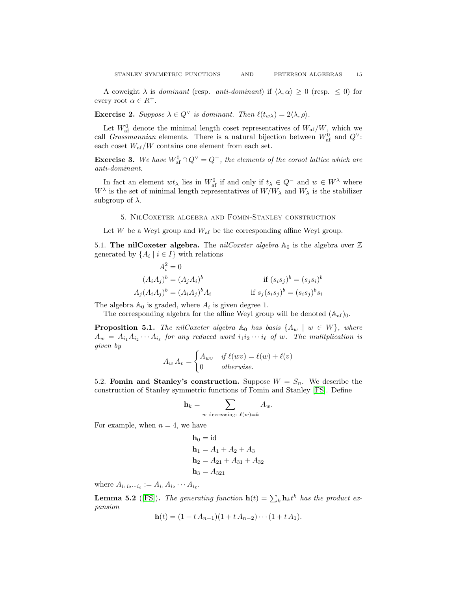A coweight  $\lambda$  is *dominant* (resp. *anti-dominant*) if  $\langle \lambda, \alpha \rangle \geq 0$  (resp.  $\leq 0$ ) for every root  $\alpha \in R^+$ .

**Exercise 2.** Suppose  $\lambda \in Q^{\vee}$  is dominant. Then  $\ell(t_{w\lambda}) = 2\langle \lambda, \rho \rangle$ .

Let  $W_{\text{af}}^0$  denote the minimal length coset representatives of  $W_{\text{af}}/W$ , which we call *Grassmannian* elements. There is a natural bijection between  $W_{\text{af}}^0$  and  $Q^{\vee}$ : each coset  $W_{\text{af}}/W$  contains one element from each set.

**Exercise 3.** We have  $W_{\text{af}}^0 \cap Q^{\vee} = Q^-$ , the elements of the coroot lattice which are anti-dominant.

In fact an element  $wt_\lambda$  lies in  $W_{\text{af}}^0$  if and only if  $t_\lambda \in Q^-$  and  $w \in W^\lambda$  where  $W^{\lambda}$  is the set of minimal length representatives of  $W/W_{\lambda}$  and  $W_{\lambda}$  is the stabilizer subgroup of  $\lambda$ .

5. NilCoxeter algebra and Fomin-Stanley construction

<span id="page-14-0"></span>Let  $W$  be a Weyl group and  $W_{\text{af}}$  be the corresponding affine Weyl group.

5.1. The nilCoxeter algebra. The *nilCoxeter algebra*  $\mathbb{A}_0$  is the algebra over  $\mathbb Z$ generated by  $\{A_i \mid i \in I\}$  with relations

$$
A_i^2 = 0
$$
  
\n
$$
(A_i A_j)^b = (A_j A_i)^b
$$
  
\nif  $(s_i s_j)^b = (s_j s_i)^b$   
\n
$$
A_j (A_i A_j)^b = (A_i A_j)^b A_i
$$
  
\nif  $s_j (s_i s_j)^b = (s_i s_j)^b s_i$ 

The algebra  $\mathbb{A}_0$  is graded, where  $A_i$  is given degree 1.

The corresponding algebra for the affine Weyl group will be denoted  $(A_{af})_0$ .

**Proposition 5.1.** The nilCoxeter algebra  $\mathbb{A}_0$  has basis  $\{A_w \mid w \in W\}$ , where  $A_w = A_{i_1} A_{i_2} \cdots A_{i_\ell}$  for any reduced word  $i_1 i_2 \cdots i_\ell$  of w. The mulitplication is given by

$$
A_w A_v = \begin{cases} A_{wv} & \text{if } \ell(wv) = \ell(w) + \ell(v) \\ 0 & \text{otherwise.} \end{cases}
$$

5.2. Fomin and Stanley's construction. Suppose  $W = S_n$ . We describe the construction of Stanley symmetric functions of Fomin and Stanley [\[FS\]](#page-27-21). Define

$$
\mathbf{h}_k = \sum_{w \text{ decreasing: } \ell(w) = k} A_w.
$$

For example, when  $n = 4$ , we have

$$
h_0 = id
$$
  
\n
$$
h_1 = A_1 + A_2 + A_3
$$
  
\n
$$
h_2 = A_{21} + A_{31} + A_{32}
$$
  
\n
$$
h_3 = A_{321}
$$

where  $A_{i_1 i_2 \cdots i_\ell} := A_{i_1} A_{i_2} \cdots A_{i_\ell}$ .

**Lemma 5.2** ([\[FS\]](#page-27-21)). The generating function  $h(t) = \sum_{k} h_k t^k$  has the product expansion

$$
\mathbf{h}(t) = (1 + t A_{n-1})(1 + t A_{n-2}) \cdots (1 + t A_1).
$$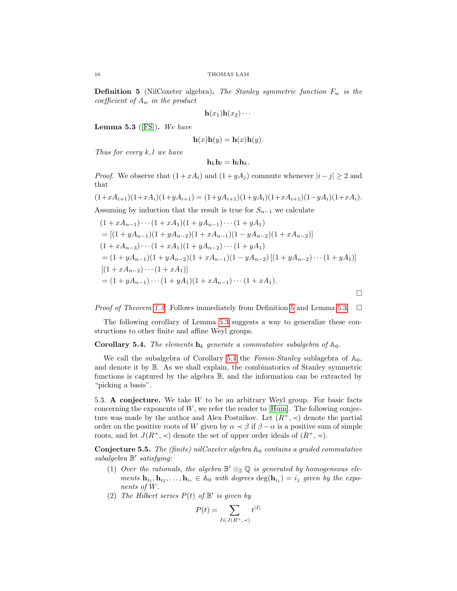<span id="page-15-1"></span>**Definition 5** (NilCoxeter algebra). The Stanley symmetric function  $F_w$  is the coefficient of  $A_w$  in the product

$$
\mathbf{h}(x_1)\mathbf{h}(x_2)\cdots
$$

<span id="page-15-2"></span>Lemma 5.3 ([\[FS\]](#page-27-21)). We have

$$
\mathbf{h}(x)\mathbf{h}(y) = \mathbf{h}(x)\mathbf{h}(y).
$$

Thus for every  $k, l$  we have

$$
\mathbf{h}_k \mathbf{h}_l = \mathbf{h}_l \mathbf{h}_k.
$$

*Proof.* We observe that  $(1 + xA_i)$  and  $(1 + yA_j)$  commute whenever  $|i - j| \ge 2$  and that

$$
(1+xA_{i+1})(1+xA_i)(1+yA_{i+1}) = (1+yA_{i+1})(1+yA_i)(1+xA_{i+1})(1-yA_i)(1+xA_i).
$$
  
Assuming by induction that the result is true for  $S_{n-1}$  we calculate  

$$
(1+xA_{n-1})\cdots(1+xA_1)(1+yA_{n-1})\cdots(1+yA_1)
$$

$$
= [(1+yA_{n-1})(1+yA_{n-2})(1+xA_{n-1})(1-yA_{n-2})(1+xA_{n-2})]
$$

$$
(1+xA_{n-3})\cdots(1+xA_1)(1+yA_{n-2})\cdots(1+yA_1)
$$

$$
= (1+yA_{n-1})(1+yA_{n-2})(1+xA_{n-1})(1-yA_{n-2}) [(1+yA_{n-2})\cdots(1+yA_1)]
$$

$$
= (1 + yA_{n-1})(1 + yA_{n-2})(1 + xA_{n-1})(1 - yA_{n-2})[(1 + yA_{n-2})\cdots(1 + yA_{1})]
$$
  
\n
$$
[(1 + xA_{n-2})\cdots(1 + xA_1)]
$$
  
\n
$$
= (1 + yA_{n-1})\cdots(1 + yA_1)(1 + xA_{n-1})\cdots(1 + xA_1).
$$

*Proof of Theorem [1.3.](#page-3-3)* Follows immediately from Definition [5](#page-15-1) and Lemma [5.3.](#page-15-2)  $\Box$ 

 $\Box$ 

The following corollary of Lemma [5.3](#page-15-2) suggests a way to generalize these constructions to other finite and affine Weyl groups.

# <span id="page-15-3"></span>**Corollary 5.4.** The elements  $\mathbf{h}_k$  generate a commutative subalgebra of  $\mathbb{A}_0$ .

We call the subalgebra of Corollary [5.4](#page-15-3) the Formin-Stanley sublagebra of  $\mathbb{A}_0$ , and denote it by B. As we shall explain, the combinatorics of Stanley symmetric functions is captured by the algebra B, and the information can be extracted by "picking a basis".

5.3. A conjecture. We take W to be an arbitrary Weyl group. For basic facts concerning the exponents of  $W$ , we refer the reader to  $[Hum]$ . The following conjecture was made by the author and Alex Postnikov. Let  $(R^+,\prec)$  denote the partial order on the positive roots of W given by  $\alpha \prec \beta$  if  $\beta - \alpha$  is a positive sum of simple roots, and let  $J(R^+,\prec)$  denote the set of upper order ideals of  $(R^+,\prec)$ .

<span id="page-15-0"></span>**Conjecture 5.5.** The (finite) nilCoxeter algebra  $\mathbb{A}_0$  contains a graded commutative subalgebra  $\mathbb{B}'$  satisfying:

- (1) Over the rationals, the algebra  $\mathbb{B}' \otimes_{\mathbb{Z}} \mathbb{Q}$  is generated by homogeneous elements  $\mathbf{h}_{i_1}, \mathbf{h}_{i_2}, \ldots, \mathbf{h}_{i_r} \in \mathbb{A}_0$  with degrees  $\deg(\mathbf{h}_{i_j}) = i_j$  given by the exponents of W.
- (2) The Hilbert series  $P(t)$  of  $\mathbb{B}'$  is given by

$$
P(t) = \sum_{I \in J(R^+, \prec)} t^{|I|}
$$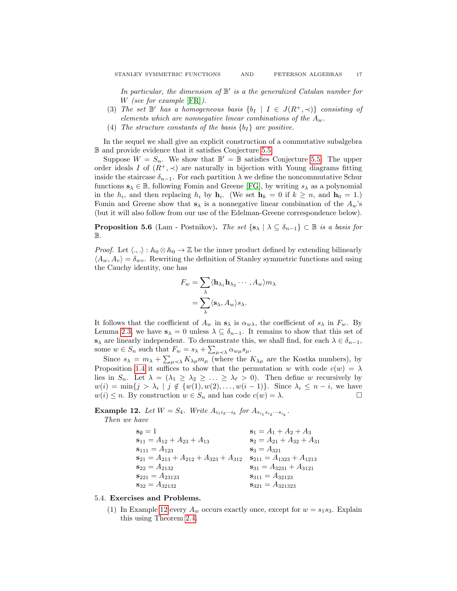In particular, the dimension of  $\mathbb{B}'$  is a the generalized Catalan number for W *(see for example [\[FR\]](#page-27-22))*.

- (3) The set  $\mathbb{B}'$  has a homogeneous basis  $\{b_I \mid I \in J(R^+, \prec)\}\$  consisting of elements which are nonnegative linear combinations of the  $A_w$ .
- (4) The structure constants of the basis  $\{b_I\}$  are positive.

In the sequel we shall give an explicit construction of a commutative subalgebra B and provide evidence that it satisfies Conjecture [5.5.](#page-15-0)

Suppose  $W = S_n$ . We show that  $\mathbb{B}' = \mathbb{B}$  satisfies Conjecture [5.5.](#page-15-0) The upper order ideals I of  $(R^+,\prec)$  are naturally in bijection with Young diagrams fitting inside the staircase  $\delta_{n-1}$ . For each partition  $\lambda$  we define the noncommutative Schur functions  $s_{\lambda} \in \mathbb{B}$ , following Fomin and Greene [\[FG\]](#page-26-11), by writing  $s_{\lambda}$  as a polynomial in the  $h_i$ , and then replacing  $h_i$  by  $\mathbf{h}_i$ . (We set  $\mathbf{h}_k = 0$  if  $k \geq n$ , and  $\mathbf{h}_0 = 1$ .) Fomin and Greene show that  $s_{\lambda}$  is a nonnegative linear combination of the  $A_w$ 's (but it will also follow from our use of the Edelman-Greene correspondence below).

<span id="page-16-2"></span>**Proposition 5.6** (Lam - Postnikov). The set  $\{s_{\lambda} \mid \lambda \subseteq \delta_{n-1}\}\subset \mathbb{B}$  is a basis for  $\mathbb B$ .

*Proof.* Let  $\langle ., .\rangle : A_0 \otimes A_0 \to \mathbb{Z}$  be the inner product defined by extending bilinearly  $\langle A_w, A_v \rangle = \delta_{wv}$ . Rewriting the definition of Stanley symmetric functions and using the Cauchy identity, one has

$$
F_w = \sum_{\lambda} \langle \mathbf{h}_{\lambda_1} \mathbf{h}_{\lambda_2} \cdots, A_w \rangle m_{\lambda}
$$

$$
= \sum_{\lambda} \langle \mathbf{s}_{\lambda}, A_w \rangle s_{\lambda}.
$$

It follows that the coefficient of  $A_w$  in  $s_\lambda$  is  $\alpha_{w\lambda}$ , the coefficient of  $s_\lambda$  in  $F_w$ . By Lemma [2.3,](#page-5-1) we have  $s_{\lambda} = 0$  unless  $\lambda \subseteq \delta_{n-1}$ . It remains to show that this set of  $s_\lambda$  are linearly independent. To demonstrate this, we shall find, for each  $\lambda \in \delta_{n-1}$ , some  $w \in S_n$  such that  $F_w = s_\lambda + \sum_{\mu \prec \lambda} \alpha_{w\mu} s_\mu$ .

Since  $s_{\lambda} = m_{\lambda} + \sum_{\mu \prec \lambda} K_{\lambda\mu} m_{\mu}$  (where the  $K_{\lambda\mu}$  are the Kostka numbers), by Proposition [1.4](#page-3-1) it suffices to show that the permutation w with code  $c(w) = \lambda$ lies in  $S_n$ . Let  $\lambda = (\lambda_1 \geq \lambda_2 \geq \ldots \geq \lambda_{\ell} > 0)$ . Then define w recursively by  $w(i) = \min\{j > \lambda_i \mid j \notin \{w(1), w(2), \ldots, w(i-1)\}\.$  Since  $\lambda_i \leq n - i$ , we have  $w(i) \leq n$ . By construction  $w \in S_n$  and has code  $c(w) = \lambda$ .

<span id="page-16-1"></span>**Example 12.** Let  $W = S_4$ . Write  $A_{i_1 i_2 \cdots i_k}$  for  $A_{s_{i_1} s_{i_2} \cdots s_{i_k}}$ .

Then we have

| $s_{\emptyset} = 1$                              | $s_1 = A_1 + A_2 + A_3$          |
|--------------------------------------------------|----------------------------------|
| $s_{11} = A_{12} + A_{23} + A_{13}$              | $s_2 = A_{21} + A_{32} + A_{31}$ |
| $S_{111} = A_{123}$                              | $s_3 = A_{321}$                  |
| $s_{21} = A_{213} + A_{212} + A_{323} + A_{312}$ | $s_{211} = A_{1323} + A_{1213}$  |
| $s_{22} = A_{2132}$                              | $s_{31} = A_{3231} + A_{3121}$   |
| $s_{221} = A_{23123}$                            | $s_{311} = A_{32123}$            |
| $s_{32} = A_{32132}$                             | $s_{321} = A_{321323}$           |

#### <span id="page-16-0"></span>5.4. Exercises and Problems.

(1) In Example [12](#page-16-1) every  $A_w$  occurs exactly once, except for  $w = s_1 s_3$ . Explain this using Theorem [2.4.](#page-6-2)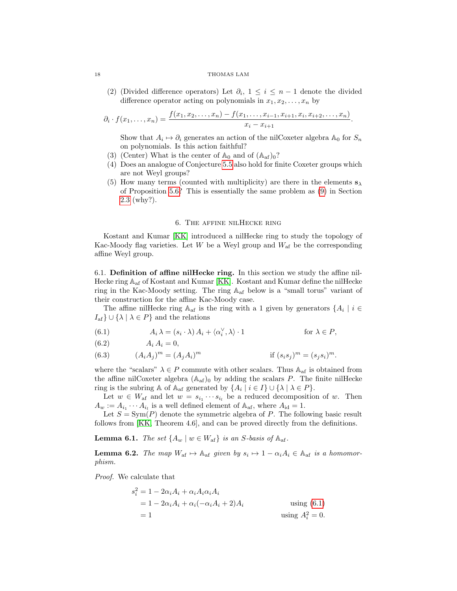#### 18 THOMAS LAM

(2) (Divided difference operators) Let  $\partial_i$ ,  $1 \leq i \leq n-1$  denote the divided difference operator acting on polynomials in  $x_1, x_2, \ldots, x_n$  by

$$
\partial_i \cdot f(x_1,\ldots,x_n) = \frac{f(x_1,x_2,\ldots,x_n) - f(x_1,\ldots,x_{i-1},x_{i+1},x_i,x_{i+2},\ldots,x_n)}{x_i - x_{i+1}}.
$$

Show that  $A_i \mapsto \partial_i$  generates an action of the nilCoxeter algebra  $\mathbb{A}_0$  for  $S_n$ on polynomials. Is this action faithful?

- (3) (Center) What is the center of  $\mathbb{A}_0$  and of  $(\mathbb{A}_{af})_0$ ?
- (4) Does an analogue of Conjecture [5.5](#page-15-0) also hold for finite Coxeter groups which are not Weyl groups?
- (5) How many terms (counted with multiplicity) are there in the elements  $s_{\lambda}$ of Proposition [5.6?](#page-16-2) This is essentially the same problem as [\(9\)](#page-8-1) in Section [2.3](#page-6-0) (why?).

## 6. The affine nilHecke ring

<span id="page-17-0"></span>Kostant and Kumar [\[KK\]](#page-27-3) introduced a nilHecke ring to study the topology of Kac-Moody flag varieties. Let  $W$  be a Weyl group and  $W_{\text{af}}$  be the corresponding affine Weyl group.

6.1. Definition of affine nilHecke ring. In this section we study the affine nil-Hecke ring  $\mathbb{A}_{\text{af}}$  of Kostant and Kumar [\[KK\]](#page-27-3). Kostant and Kumar define the nilHecke ring in the Kac-Moody setting. The ring Aaf below is a "small torus" variant of their construction for the affine Kac-Moody case.

The affine nilHecke ring  $\mathbb{A}_{af}$  is the ring with a 1 given by generators  $\{A_i \mid i \in$  $I_{\text{af}} \} \cup \{ \lambda \mid \lambda \in P \}$  and the relations

<span id="page-17-1"></span>(6.1)  $A_i \lambda = (s_i \cdot \lambda) A_i + \langle \alpha_i^{\vee}, \lambda \rangle \cdot 1$  for  $\lambda \in P$ ,

$$
(6.2) \qquad \qquad A_i A_i = 0,
$$

 $(A_iA_j)^m = (A_jA_i)$ (6.3)  $(A_i A_j)^m = (A_j A_i)^m$  if  $(s_i s_j)^m = (s_j s_i)^m$ .

where the "scalars"  $\lambda \in P$  commute with other scalars. Thus  $\mathbb{A}_{\text{af}}$  is obtained from the affine nilCoxeter algebra  $(A_{af})_0$  by adding the scalars P. The finite nilHecke ring is the subring A of A<sub>af</sub> generated by  $\{A_i \mid i \in I\} \cup \{\lambda \mid \lambda \in P\}.$ 

Let  $w \in W_{\text{af}}$  and let  $w = s_{i_1} \cdots s_{i_l}$  be a reduced decomposition of w. Then  $A_w := A_{i_1} \cdots A_{i_l}$  is a well defined element of  $\mathbb{A}_{\text{af}}$ , where  $A_{\text{id}} = 1$ .

Let  $S = \text{Sym}(P)$  denote the symmetric algebra of P. The following basic result follows from [\[KK,](#page-27-3) Theorem 4.6], and can be proved directly from the definitions.

<span id="page-17-3"></span>**Lemma 6.1.** The set  $\{A_w \mid w \in W_{\text{af}}\}$  is an S-basis of  $\mathbb{A}_{\text{af}}$ .

<span id="page-17-2"></span>**Lemma 6.2.** The map  $W_{af} \mapsto A_{af}$  given by  $s_i \mapsto 1 - \alpha_i A_i \in A_{af}$  is a homomorphism.

Proof. We calculate that

$$
s_i^2 = 1 - 2\alpha_i A_i + \alpha_i A_i \alpha_i A_i
$$
  
= 1 - 2\alpha\_i A\_i + \alpha\_i (-\alpha\_i A\_i + 2)A\_i  
= 1 \tusing  $A_i^2 = 0$ .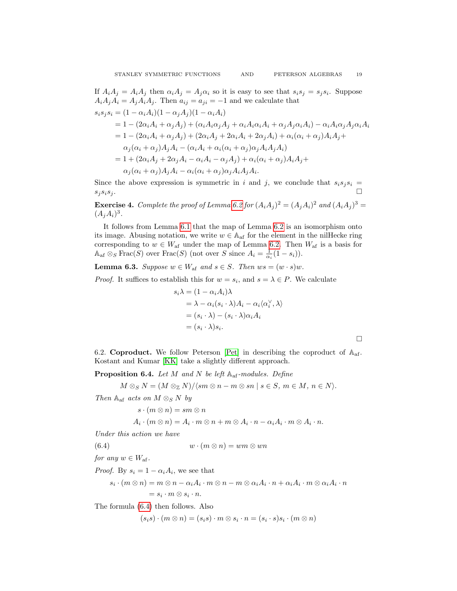$\Box$ 

If  $A_i A_j = A_i A_j$  then  $\alpha_i A_j = A_j \alpha_i$  so it is easy to see that  $s_i s_j = s_j s_i$ . Suppose  $A_iA_jA_i = A_jA_iA_j$ . Then  $a_{ij} = a_{ji} = -1$  and we calculate that  $s_i s_j s_i = (1 - \alpha_i A_i)(1 - \alpha_j A_j)(1 - \alpha_i A_i)$  $= 1 - (2\alpha_i A_i + \alpha_j A_j) + (\alpha_i A_i \alpha_j A_j + \alpha_i A_i \alpha_i A_i + \alpha_j A_j \alpha_i A_i) - \alpha_i A_i \alpha_j A_j \alpha_i A_i$  $= 1 - (2\alpha_i A_i + \alpha_j A_j) + (2\alpha_i A_j + 2\alpha_i A_i + 2\alpha_j A_i) + \alpha_i (\alpha_i + \alpha_j) A_i A_j +$  $\alpha_i(\alpha_i+\alpha_j)A_iA_i-(\alpha_iA_i+\alpha_i(\alpha_i+\alpha_j)\alpha_jA_iA_jA_i)$  $= 1 + (2\alpha_iA_i + 2\alpha_iA_i - \alpha_iA_i - \alpha_jA_j) + \alpha_i(\alpha_i + \alpha_j)A_iA_j +$  $\alpha_j(\alpha_i+\alpha_j)A_jA_i-\alpha_i(\alpha_i+\alpha_j)\alpha_jA_iA_jA_i.$ 

Since the above expression is symmetric in i and j, we conclude that  $s_i s_j s_i =$  $s_j s_i s_j.$ 

**Exercise 4.** Complete the proof of Lemma [6.2](#page-17-2) for  $(A_iA_j)^2 = (A_jA_i)^2$  and  $(A_iA_j)^3 =$  $(A_jA_i)^3$ .

It follows from Lemma [6.1](#page-17-3) that the map of Lemma [6.2](#page-17-2) is an isomorphism onto its image. Abusing notation, we write  $w \in A_{af}$  for the element in the nilHecke ring corresponding to  $w \in W_{\text{af}}$  under the map of Lemma [6.2.](#page-17-2) Then  $W_{\text{af}}$  is a basis for  $\mathbb{A}_{\text{af}} \otimes_S \text{Frac}(S)$  over  $\text{Frac}(S)$  (not over S since  $A_i = \frac{1}{\alpha_i}(1 - s_i)$ ).

<span id="page-18-1"></span>**Lemma 6.3.** Suppose  $w \in W_{af}$  and  $s \in S$ . Then  $ws = (w \cdot s)w$ .

*Proof.* It suffices to establish this for  $w = s_i$ , and  $s = \lambda \in P$ . We calculate

$$
s_i \lambda = (1 - \alpha_i A_i) \lambda
$$
  
=  $\lambda - \alpha_i (s_i \cdot \lambda) A_i - \alpha_i \langle \alpha_i^{\vee}, \lambda \rangle$   
=  $(s_i \cdot \lambda) - (s_i \cdot \lambda) \alpha_i A_i$   
=  $(s_i \cdot \lambda) s_i$ .

<span id="page-18-3"></span>6.2. **Coproduct.** We follow Peterson [\[Pet\]](#page-28-1) in describing the coproduct of  $A_{af}$ . Kostant and Kumar [\[KK\]](#page-27-3) take a slightly different approach.

<span id="page-18-2"></span>**Proposition 6.4.** Let M and N be left  $\mathbb{A}_{af}$ -modules. Define

$$
M\otimes_S N = (M\otimes_{\mathbb{Z}} N)/\langle sm\otimes n - m\otimes sn \mid s \in S, m \in M, n \in N \rangle.
$$

Then  $\mathbb{A}_{\text{af}}$  acts on  $M \otimes_S N$  by

$$
s\cdot (m\otimes n)=sm\otimes n
$$

<span id="page-18-0"></span>
$$
A_i \cdot (m \otimes n) = A_i \cdot m \otimes n + m \otimes A_i \cdot n - \alpha_i A_i \cdot m \otimes A_i \cdot n.
$$

Under this action we have

(6.4)  $w \cdot (m \otimes n) = w m \otimes w n$ 

for any  $w \in W_{\mathrm{af}}$ .

*Proof.* By  $s_i = 1 - \alpha_i A_i$ , we see that

$$
s_i \cdot (m \otimes n) = m \otimes n - \alpha_i A_i \cdot m \otimes n - m \otimes \alpha_i A_i \cdot n + \alpha_i A_i \cdot m \otimes \alpha_i A_i \cdot n
$$
  
= 
$$
s_i \cdot m \otimes s_i \cdot n.
$$

The formula [\(6.4\)](#page-18-0) then follows. Also

$$
(s_i s) \cdot (m \otimes n) = (s_i s) \cdot m \otimes s_i \cdot n = (s_i \cdot s) s_i \cdot (m \otimes n)
$$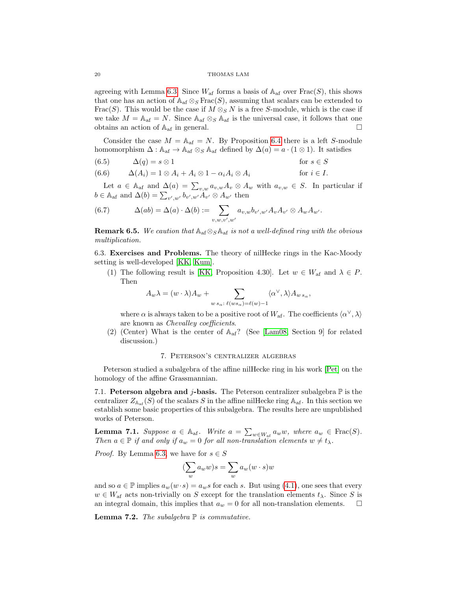#### 20 THOMAS LAM

agreeing with Lemma [6.3.](#page-18-1) Since  $W_{\text{af}}$  forms a basis of  $\mathbb{A}_{\text{af}}$  over  $\text{Frac}(S)$ , this shows that one has an action of  $\mathbb{A}_{af} \otimes_S \text{Frac}(S)$ , assuming that scalars can be extended to Frac(S). This would be the case if  $M \otimes_S N$  is a free S-module, which is the case if we take  $M = \mathbb{A}_{af} = N$ . Since  $\mathbb{A}_{af} \otimes_S \mathbb{A}_{af}$  is the universal case, it follows that one obtains an action of  $A_{af}$  in general.

Consider the case  $M = A_{af} = N$ . By Proposition [6.4](#page-18-2) there is a left S-module homomorphism  $\Delta : \mathbb{A}_{\text{af}} \to \mathbb{A}_{\text{af}} \otimes_S \mathbb{A}_{\text{af}}$  defined by  $\Delta(a) = a \cdot (1 \otimes 1)$ . It satisfies

(6.5) 
$$
\Delta(q) = s \otimes 1 \qquad \text{for } s \in S
$$

(6.6) 
$$
\Delta(A_i) = 1 \otimes A_i + A_i \otimes 1 - \alpha_i A_i \otimes A_i \qquad \text{for } i \in I.
$$

Let  $a \in \mathbb{A}_{af}$  and  $\Delta(a) = \sum_{v,w} a_{v,w} A_v \otimes A_w$  with  $a_{v,w} \in S$ . In particular if  $b \in \mathbb{A}_{\text{af}}$  and  $\Delta(b) = \sum_{v',w'} b_{v',w'} A_{v'} \otimes A_{w'}$  then

(6.7) 
$$
\Delta(ab) = \Delta(a) \cdot \Delta(b) := \sum_{v,w,v',w'} a_{v,w} b_{v',w'} A_v A_{v'} \otimes A_w A_{w'}.
$$

**Remark 6.5.** We caution that  $\mathbb{A}_{af} \otimes_S \mathbb{A}_{af}$  is not a well-defined ring with the obvious multiplication.

6.3. Exercises and Problems. The theory of nilHecke rings in the Kac-Moody setting is well-developed [\[KK,](#page-27-3) [Kum\]](#page-27-23).

(1) The following result is [\[KK,](#page-27-3) Proposition 4.30]. Let  $w \in W_{\text{af}}$  and  $\lambda \in P$ . Then

$$
A_w \lambda = (w \cdot \lambda) A_w + \sum_{w \, s_\alpha \colon \ell(ws_\alpha) = \ell(w) - 1} \langle \alpha^\vee, \lambda \rangle A_{w \, s_\alpha},
$$

where  $\alpha$  is always taken to be a positive root of  $W_{\mathrm{af}}$ . The coefficients  $\langle \alpha^\vee, \lambda \rangle$ are known as Chevalley coefficients.

(2) (Center) What is the center of  $A_{af}$ ? (See [\[Lam08,](#page-27-2) Section 9] for related discussion.)

# 7. Peterson's centralizer algebras

Peterson studied a subalgebra of the affine nilHecke ring in his work [\[Pet\]](#page-28-1) on the homology of the affine Grassmannian.

7.1. Peterson algebra and j-basis. The Peterson centralizer subalgebra  $\mathbb P$  is the centralizer  $Z_{A_{\rm af}}(S)$  of the scalars S in the affine nilHecke ring  $A_{\rm af}$ . In this section we establish some basic properties of this subalgebra. The results here are unpublished works of Peterson.

<span id="page-19-0"></span>**Lemma 7.1.** Suppose  $a \in \mathbb{A}_{af}$ . Write  $a = \sum_{w \in W_{af}} a_w w$ , where  $a_w \in \text{Frac}(S)$ . Then  $a \in \mathbb{P}$  if and only if  $a_w = 0$  for all non-translation elements  $w \neq t_\lambda$ .

*Proof.* By Lemma [6.3,](#page-18-1) we have for  $s \in S$ 

$$
(\sum_{w} a_{w} w) s = \sum_{w} a_{w} (w \cdot s) w
$$

and so  $a \in \mathbb{P}$  implies  $a_w(w \cdot s) = a_w s$  for each s. But using [\(4.1\)](#page-13-0), one sees that every  $w \in W_{\text{af}}$  acts non-trivially on S except for the translation elements  $t_{\lambda}$ . Since S is an integral domain, this implies that  $a_w = 0$  for all non-translation elements.  $\square$ 

<span id="page-19-1"></span>**Lemma 7.2.** The subalgebra  $\mathbb P$  is commutative.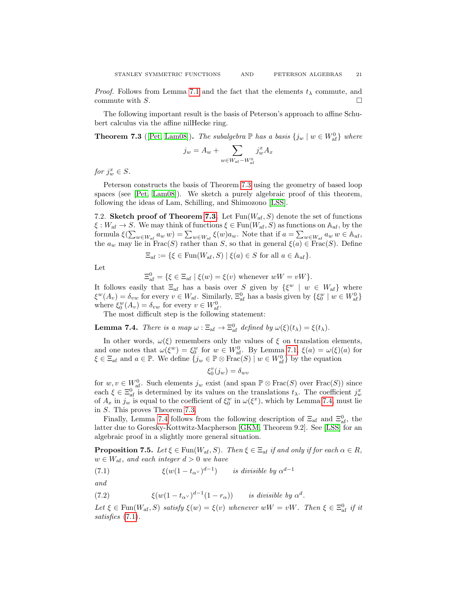*Proof.* Follows from Lemma [7.1](#page-19-0) and the fact that the elements  $t_{\lambda}$  commute, and commute with S.  $\Box$ 

The following important result is the basis of Peterson's approach to affine Schubert calculus via the affine nilHecke ring.

<span id="page-20-0"></span>**Theorem 7.3** ([\[Pet,](#page-28-1) [Lam08\]](#page-27-2)). The subalgebra  $\mathbb P$  has a basis  $\{j_w | w \in W_{\text{af}}^0\}$  where

$$
j_w = A_w + \sum_{w \in W_{\mathrm{af}} - W_{\mathrm{af}}^0} j_w^x A_x
$$

for  $j_w^x \in S$ .

Peterson constructs the basis of Theorem [7.3](#page-20-0) using the geometry of based loop spaces (see [\[Pet,](#page-28-1) [Lam08\]](#page-27-2)). We sketch a purely algebraic proof of this theorem, following the ideas of Lam, Schilling, and Shimozono [\[LSS\]](#page-27-8).

7.2. Sketch proof of Theorem [7.3.](#page-20-0) Let  $Fun(W_{af}, S)$  denote the set of functions  $\xi: W_{\text{af}} \to S$ . We may think of functions  $\xi \in \text{Fun}(W_{\text{af}}, S)$  as functions on  $\mathbb{A}_{\text{af}}$ , by the formula  $\xi(\sum_{w \in W_{\text{af}}} a_w w) = \sum_{w \in W_{\text{af}}} \xi(w) a_w$ . Note that if  $a = \sum_{w \in W_{\text{af}}} a_w w \in A_{\text{af}}$ , the  $a_w$  may lie in Frac(S) rather than S, so that in general  $\xi(a) \in \text{Frac}(S)$ . Define

$$
\Xi_{\mathrm{af}} := \{ \xi \in \mathrm{Fun}(W_{\mathrm{af}}, S) \mid \xi(a) \in S \text{ for all } a \in \mathbb{A}_{\mathrm{af}} \}.
$$

Let

$$
\Xi_{\mathrm{af}}^0 = \{ \xi \in \Xi_{\mathrm{af}} \mid \xi(w) = \xi(v) \text{ whenever } wW = vW \}.
$$

It follows easily that  $\Xi_{af}$  has a basis over S given by  $\{\xi^w \mid w \in W_{af}\}\$  where  $\xi^w(A_v) = \delta_{vw}$  for every  $v \in W_{\text{af}}$ . Similarly,  $\Xi_{\text{af}}^0$  has a basis given by  $\{\xi_0^w \mid w \in W_{\text{af}}^0\}$ where  $\xi_0^w(A_v) = \delta_{vw}$  for every  $v \in W_{\text{af}}^0$ .

The most difficult step is the following statement:

<span id="page-20-1"></span>**Lemma 7.4.** There is a map  $\omega : \Xi_{\text{af}} \to \Xi_{\text{af}}^0$  defined by  $\omega(\xi)(t_\lambda) = \xi(t_\lambda)$ .

In other words,  $\omega(\xi)$  remembers only the values of  $\xi$  on translation elements, and one notes that  $\omega(\xi^w) = \xi_0^w$  for  $w \in W_{\text{af}}^0$ . By Lemma [7.1,](#page-19-0)  $\xi(a) = \omega(\xi)(a)$  for  $\xi \in \Xi_{\text{af}}$  and  $a \in \mathbb{P}$ . We define  $\{j_w \in \mathbb{P} \otimes \text{Frac}(S) \mid w \in W_{\text{af}}^0\}$  by the equation

$$
\xi_0^v(j_w)=\delta_{wv}
$$

for  $w, v \in W_{\text{af}}^0$ . Such elements  $j_w$  exist (and span  $\mathbb{P} \otimes \text{Frac}(S)$  over  $\text{Frac}(S)$ ) since each  $\xi \in \Xi_{\text{af}}^0$  is determined by its values on the translations  $t_\lambda$ . The coefficient  $j_w^x$ of  $A_x$  in  $j_w$  is equal to the coefficient of  $\xi_0^w$  in  $\omega(\xi^x)$ , which by Lemma [7.4,](#page-20-1) must lie in S. This proves Theorem [7.3.](#page-20-0)

Finally, Lemma [7.4](#page-20-1) follows from the following description of  $\Xi_{af}$  and  $\Xi_{af}^0$ , the latter due to Goresky-Kottwitz-Macpherson [\[GKM,](#page-27-24) Theorem 9.2]. See [\[LSS\]](#page-27-8) for an algebraic proof in a slightly more general situation.

**Proposition 7.5.** Let  $\xi \in \text{Fun}(W_{\text{af}}, S)$ . Then  $\xi \in \Xi_{\text{af}}$  if and only if for each  $\alpha \in R$ ,  $w \in W_{\mathrm{af}}$ , and each integer  $d > 0$  we have

<span id="page-20-2"></span>(7.1) 
$$
\xi(w(1-t_{\alpha}y)^{d-1}) \quad is \text{ divisible by } \alpha^{d-1}
$$

and

(7.2) 
$$
\xi(w(1-t_{\alpha}y)^{d-1}(1-r_{\alpha})) \text{ is divisible by } \alpha^d.
$$

Let  $\xi \in \text{Fun}(W_{\text{af}}, S)$  satisfy  $\xi(w) = \xi(v)$  whenever  $wW = vW$ . Then  $\xi \in \Xi_{\text{af}}^0$  if it satisfies [\(7.1\)](#page-20-2).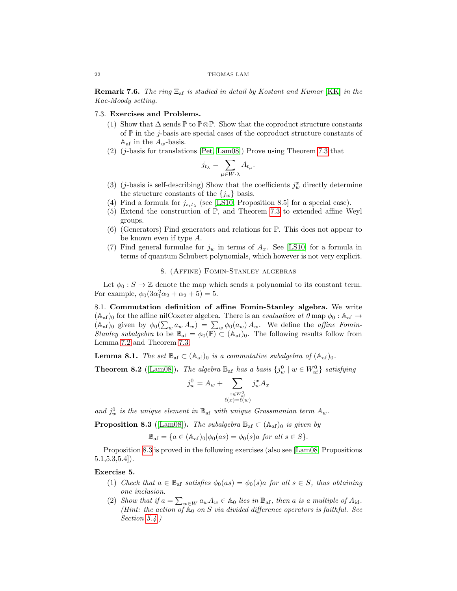#### 22 THOMAS LAM

**Remark 7.6.** The ring  $\Xi_{af}$  is studied in detail by Kostant and Kumar [\[KK\]](#page-27-3) in the Kac-Moody setting.

# 7.3. Exercises and Problems.

- (1) Show that  $\Delta$  sends  $\mathbb P$  to  $\mathbb P \otimes \mathbb P$ . Show that the coproduct structure constants of  $\mathbb P$  in the *j*-basis are special cases of the coproduct structure constants of  $A_{\text{af}}$  in the  $A_w$ -basis.
- $(2)$  (j-basis for translations [\[Pet,](#page-28-1) [Lam08\]](#page-27-2)) Prove using Theorem [7.3](#page-20-0) that

$$
j_{t_{\lambda}} = \sum_{\mu \in W \cdot \lambda} A_{t_{\mu}}.
$$

- (3) (*j*-basis is self-describing) Show that the coefficients  $j_w^x$  directly determine the structure constants of the  $\{j_w\}$  basis.
- (4) Find a formula for  $j_{s_it_\lambda}$  (see [\[LS10,](#page-27-4) Proposition 8.5] for a special case).
- (5) Extend the construction of P, and Theorem [7.3](#page-20-0) to extended affine Weyl groups.
- (6) (Generators) Find generators and relations for P. This does not appear to be known even if type A.
- (7) Find general formulae for  $j_w$  in terms of  $A_x$ . See [\[LS10\]](#page-27-4) for a formula in terms of quantum Schubert polynomials, which however is not very explicit.

# 8. (Affine) Fomin-Stanley algebras

<span id="page-21-0"></span>Let  $\phi_0 : S \to \mathbb{Z}$  denote the map which sends a polynomial to its constant term. For example,  $\phi_0(3\alpha_1^2\alpha_2 + \alpha_2 + 5) = 5$ .

8.1. Commutation definition of affine Fomin-Stanley algebra. We write  $(A<sub>af</sub>)<sub>0</sub>$  for the affine nilCoxeter algebra. There is an *evaluation at*  $\theta$  map  $\phi_0 : A<sub>af</sub> \rightarrow$  $(\mathbb{A}_{af})_0$  given by  $\phi_0(\sum_w a_w A_w) = \sum_w \phi_0(a_w) A_w$ . We define the *affine Fomin*-Stanley subalgebra to be  $\mathbb{B}_{\text{af}} = \phi_0(\overline{\mathbb{P}}) \subset (\mathbb{A}_{\text{af}})_0$ . The following results follow from Lemma [7.2](#page-19-1) and Theorem [7.3.](#page-20-0)

**Lemma 8.1.** The set  $\mathbb{B}_{af} \subset (\mathbb{A}_{af})_0$  is a commutative subalgebra of  $(\mathbb{A}_{af})_0$ .

<span id="page-21-2"></span>**Theorem 8.2** ([\[Lam08\]](#page-27-2)). The algebra  $\mathbb{B}_{af}$  has a basis  $\{j_w^0 \mid w \in W_{af}^0\}$  satisfying

$$
j_w^0 = A_w + \sum_{\substack{x \notin W_{\text{af}}^0 \\ \ell(x) = \ell(w)}} j_w^x A_x
$$

and  $j_w^0$  is the unique element in  $\mathbb{B}_{\text{af}}$  with unique Grassmanian term  $A_w$ .

<span id="page-21-1"></span>**Proposition 8.3** ([\[Lam08\]](#page-27-2)). The subalgebra  $\mathbb{B}_{af} \subset (\mathbb{A}_{af})_0$  is given by

$$
\mathbb{B}_{\text{af}} = \{ a \in (\mathbb{A}_{\text{af}})_0 | \phi_0(as) = \phi_0(s) a \text{ for all } s \in S \}.
$$

Proposition [8.3](#page-21-1) is proved in the following exercises (also see [\[Lam08,](#page-27-2) Propositions 5.1,5.3,5.4]).

#### Exercise 5.

- (1) Check that  $a \in \mathbb{B}_{\text{af}}$  satisfies  $\phi_0(as) = \phi_0(s)a$  for all  $s \in S$ , thus obtaining one inclusion.
- (2) Show that if  $a = \sum_{w \in W} a_w A_w \in A_0$  lies in  $\mathbb{B}_{af}$ , then a is a multiple of  $A_{id}$ . (Hint: the action of  $\mathbb{A}_0$  on S via divided difference operators is faithful. See Section [5.4.](#page-16-0))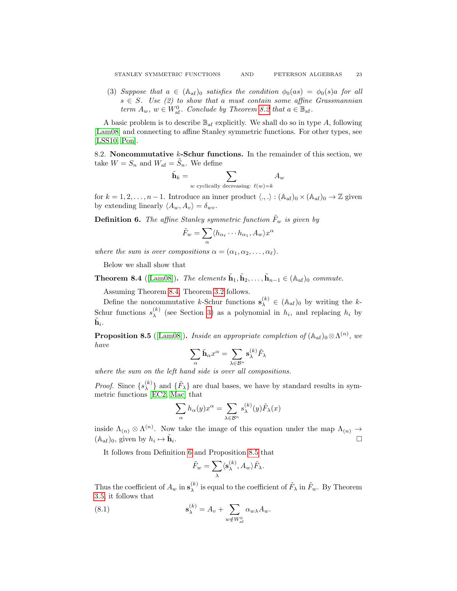(3) Suppose that  $a \in (A_{af})_0$  satisfies the condition  $\phi_0(as) = \phi_0(s)a$  for all  $s \in S$ . Use (2) to show that a must contain some affine Grassmannian term  $A_w$ ,  $w \in W_{\text{af}}^0$ . Conclude by Theorem [8.2](#page-21-2) that  $a \in \mathbb{B}_{\text{af}}$ .

A basic problem is to describe  $\mathbb{B}_{\text{af}}$  explicitly. We shall do so in type A, following [\[Lam08\]](#page-27-2) and connecting to affine Stanley symmetric functions. For other types, see [\[LSS10,](#page-27-7) [Pon\]](#page-28-4).

8.2. Noncommutative  $k$ -Schur functions. In the remainder of this section, we take  $W = S_n$  and  $W_{\text{af}} = \tilde{S}_n$ . We define

$$
\tilde{\mathbf{h}}_k = \sum_{w \text{ cyclically decreasing:}} A_w
$$

for  $k = 1, 2, \ldots, n - 1$ . Introduce an inner product  $\langle ., . \rangle : (A_{af})_0 \times (A_{af})_0 \to \mathbb{Z}$  given by extending linearly  $\langle A_w, A_v \rangle = \delta_{wv}$ .

<span id="page-22-1"></span>**Definition 6.** The affine Stanley symmetric function  $\tilde{F}_w$  is given by

$$
\tilde{F}_w = \sum_{\alpha} \langle h_{\alpha_\ell} \cdots h_{\alpha_1}, A_w \rangle x
$$

α

where the sum is over compositions  $\alpha = (\alpha_1, \alpha_2, \dots, \alpha_\ell).$ 

Below we shall show that

<span id="page-22-0"></span>**Theorem 8.4** ([\[Lam08\]](#page-27-2)). The elements  $\tilde{\mathbf{h}}_1, \tilde{\mathbf{h}}_2, \ldots, \tilde{\mathbf{h}}_{n-1} \in (\mathbb{A}_{\text{af}})_0$  commute.

Assuming Theorem [8.4,](#page-22-0) Theorem [3.2](#page-9-0) follows.

Define the noncommutative k-Schur functions  $s_{\lambda}^{(k)} \in (A_{af})_0$  by writing the k-Schur functions  $s_\lambda^{(k)}$  $\lambda^{(k)}$  (see Section [3\)](#page-8-0) as a polynomial in  $h_i$ , and replacing  $h_i$  by  $\tilde{\mathbf{h}}_i.$ 

<span id="page-22-2"></span>**Proposition 8.5** ([\[Lam08\]](#page-27-2)). Inside an appropriate completion of  $(A_{af})_0 \otimes \Lambda^{(n)}$ , we have

$$
\sum_{\alpha} \tilde{\mathbf{h}}_{\alpha} x^{\alpha} = \sum_{\lambda \in \mathcal{B}^n} \mathbf{s}_{\lambda}^{(k)} \tilde{F}_{\lambda}
$$

where the sum on the left hand side is over all compositions.

*Proof.* Since  $\{s_{\lambda}^{(k)}\}$  $\{(\mathbf{k})\}\$ and  $\{\tilde{F}_{\lambda}\}$  are dual bases, we have by standard results in symmetric functions [\[EC2,](#page-28-5) [Mac\]](#page-28-3) that

$$
\sum_{\alpha} h_{\alpha}(y)x^{\alpha} = \sum_{\lambda \in \mathcal{B}^n} s_{\lambda}^{(k)}(y)\tilde{F}_{\lambda}(x)
$$

inside  $\Lambda_{(n)} \otimes \Lambda^{(n)}$ . Now take the image of this equation under the map  $\Lambda_{(n)} \to$  $(\mathbb{A}_{\mathrm{af}})_0$ , given by  $h_i \mapsto \tilde{\mathbf{h}}_i$ . В последните поставите на селото на селото на селото на селото на селото на селото на селото на селото на се<br>Селото на селото на селото на селото на селото на селото на селото на селото на селото на селото на селото на

It follows from Definition [6](#page-22-1) and Proposition [8.5](#page-22-2) that

<span id="page-22-3"></span>
$$
\tilde{F}_w = \sum_{\lambda} \langle \mathbf{s}_{\lambda}^{(k)}, A_w \rangle \tilde{F}_{\lambda}.
$$

Thus the coefficient of  $A_w$  in  $\mathbf{s}_{\lambda}^{(k)}$  $\chi^{(k)}$  is equal to the coefficient of  $\tilde{F}_{\lambda}$  in  $\tilde{F}_{w}$ . By Theorem [3.5,](#page-10-1) it follows that

(8.1) 
$$
\mathbf{s}_{\lambda}^{(k)} = A_v + \sum_{w \notin W_{\text{af}}^0} \alpha_{w\lambda} A_w.
$$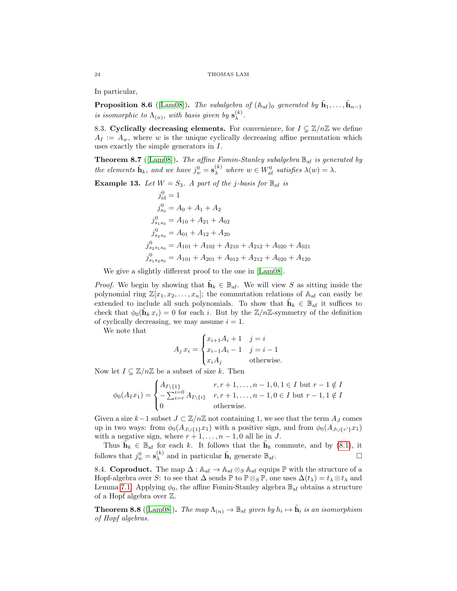In particular,

<span id="page-23-0"></span>**Proposition 8.6** ([\[Lam08\]](#page-27-2)). The subalgebra of  $(A_{af})_0$  generated by  $\tilde{h}_1, \ldots, \tilde{h}_{n-1}$ is isomorphic to  $\Lambda_{(n)}$ , with basis given by  $\mathbf{s}_{\lambda}^{(k)}$  $\lambda^{(\kappa)}$ .

8.3. Cyclically decreasing elements. For convenience, for  $I \subseteq \mathbb{Z}/n\mathbb{Z}$  we define  $A_I := A_w$ , where w is the unique cyclically decreasing affine permutation which uses exactly the simple generators in I.

<span id="page-23-2"></span>**Theorem 8.7** ([\[Lam08\]](#page-27-2)). The affine Fomin-Stanley subalgebra  $\mathbb{B}_{af}$  is generated by the elements  $\tilde{\mathbf{h}}_k$ , and we have  $j_w^0 = \mathbf{s}_\lambda^{(k)}$  where  $w \in W_{\text{af}}^0$  satisfies  $\lambda(w) = \lambda$ .

**Example 13.** Let  $W = S_3$ . A part of the j-basis for  $\mathbb{B}_{\text{af}}$  is

$$
j_{id}^{0} = 1
$$
  
\n
$$
j_{so}^{0} = A_0 + A_1 + A_2
$$
  
\n
$$
j_{s_1s_0}^{0} = A_{10} + A_{21} + A_{02}
$$
  
\n
$$
j_{s_2s_0}^{0} = A_{01} + A_{12} + A_{20}
$$
  
\n
$$
j_{s_2s_1s_0}^{0} = A_{101} + A_{102} + A_{210} + A_{212} + A_{020} + A_{021}
$$
  
\n
$$
j_{s_1s_2s_0}^{0} = A_{101} + A_{201} + A_{012} + A_{212} + A_{020} + A_{120}
$$

We give a slightly different proof to the one in [\[Lam08\]](#page-27-2).

*Proof.* We begin by showing that  $\tilde{\mathbf{h}}_k \in \mathbb{B}_{\text{af}}$ . We will view S as sitting inside the polynomial ring  $\mathbb{Z}[x_1, x_2, \ldots, x_n]$ ; the commutation relations of  $\mathbb{A}_{af}$  can easily be extended to include all such polynomials. To show that  $\tilde{\mathbf{h}}_k \in \mathbb{B}_{\text{af}}$  it suffices to check that  $\phi_0(\tilde{\mathbf{h}}_k x_i) = 0$  for each i. But by the  $\mathbb{Z}/n\mathbb{Z}$ -symmetry of the definition of cyclically decreasing, we may assume  $i = 1$ .

We note that

$$
A_j x_i = \begin{cases} x_{i+1}A_i + 1 & j = i \\ x_{i-1}A_i - 1 & j = i - 1 \\ x_i A_j & \text{otherwise.} \end{cases}
$$

Now let  $I \subsetneq \mathbb{Z}/n\mathbb{Z}$  be a subset of size k. Then

$$
\phi_0(A_I x_1) = \begin{cases} A_{I \setminus \{1\}} & r, r+1, \dots, n-1, 0, 1 \in I \text{ but } r-1 \notin I \\ -\sum_{i=r}^{i=0} A_{I \setminus \{i\}} & r, r+1, \dots, n-1, 0 \in I \text{ but } r-1, 1 \notin I \\ 0 & \text{otherwise.} \end{cases}
$$

Given a size  $k-1$  subset  $J \subset \mathbb{Z}/n\mathbb{Z}$  not containing 1, we see that the term  $A_J$  comes up in two ways: from  $\phi_0(A_{J\cup\{1\}}x_1)$  with a positive sign, and from  $\phi_0(A_{J\cup\{r'\}}x_1)$ with a negative sign, where  $r + 1, \ldots, n - 1, 0$  all lie in J.

Thus  $\tilde{\mathbf{h}}_k \in \mathbb{B}_{\text{af}}$  for each k. It follows that the  $\tilde{\mathbf{h}}_k$  commute, and by [\(8.1\)](#page-22-3), it follows that  $j_w^0 = \mathbf{s}_{\lambda}^{(k)}$  $\mathbf{A}^{(k)}$  and in particular  $\mathbf{\tilde{h}}_i$  generate  $\mathbb{B}_{\text{af}}$ .

8.4. Coproduct. The map  $\Delta: \mathbb{A}_{af} \to \mathbb{A}_{af} \otimes_{S} \mathbb{A}_{af}$  equips  $\mathbb P$  with the structure of a Hopf-algebra over S: to see that  $\Delta$  sends  $\mathbb P$  to  $\mathbb P \otimes_S \mathbb P$ , one uses  $\Delta(t_\lambda) = t_\lambda \otimes t_\lambda$  and Lemma [7.1.](#page-19-0) Applying  $\phi_0$ , the affine Fomin-Stanley algebra  $\mathbb{B}_{\text{af}}$  obtains a structure of a Hopf algebra over Z.

<span id="page-23-1"></span>**Theorem 8.8** ([\[Lam08\]](#page-27-2)). The map  $\Lambda_{(n)} \to \mathbb{B}_{\text{af}}$  given by  $h_i \mapsto \tilde{\mathbf{h}}_i$  is an isomorphism of Hopf algebras.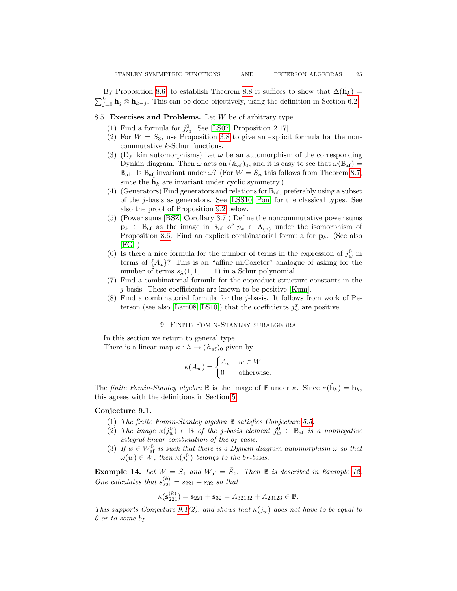By Proposition [8.6,](#page-23-0) to establish Theorem [8.8](#page-23-1) it suffices to show that  $\Delta(\tilde{\mathbf{h}}_k)$  =  $\sum_{j=0}^{k} \tilde{\mathbf{h}}_j \otimes \tilde{\mathbf{h}}_{k-j}$ . This can be done bijectively, using the definition in Section [6.2.](#page-18-3)

## 8.5. Exercises and Problems. Let W be of arbitrary type.

- (1) Find a formula for  $j_{s_0}^0$ . See [\[LS07,](#page-27-25) Proposition 2.17].
- (2) For  $W = S_3$ , use Proposition [3.8](#page-10-2) to give an explicit formula for the noncommutative k-Schur functions.
- (3) (Dynkin automorphisms) Let  $\omega$  be an automorphism of the corresponding Dynkin diagram. Then  $\omega$  acts on  $(\mathbb{A}_{af})_0$ , and it is easy to see that  $\omega(\mathbb{B}_{af}) =$  $\mathbb{B}_{\text{af}}$ . Is  $\mathbb{B}_{\text{af}}$  invariant under  $\omega$ ? (For  $W = S_n$  this follows from Theorem [8.7,](#page-23-2) since the  $\tilde{\mathbf{h}}_k$  are invariant under cyclic symmetry.)
- (4) (Generators) Find generators and relations for  $\mathbb{B}_{af}$ , preferably using a subset of the j-basis as generators. See [\[LSS10,](#page-27-7) [Pon\]](#page-28-4) for the classical types. See also the proof of Proposition [9.2](#page-25-0) below.
- (5) (Power sums [\[BSZ,](#page-26-12) Corollary 3.7]) Define the noncommutative power sums  $\mathbf{p}_k \in \mathbb{B}_{\text{af}}$  as the image in  $\mathbb{B}_{\text{af}}$  of  $p_k \in \Lambda_{(n)}$  under the isomorphism of Proposition [8.6.](#page-23-0) Find an explicit combinatorial formula for  $\mathbf{p}_k$ . (See also  $[FG]$ .)
- (6) Is there a nice formula for the number of terms in the expression of  $j_w^0$  in terms of  $\{A_x\}$ ? This is an "affine nilCoxeter" analogue of asking for the number of terms  $s_{\lambda}(1,1,\ldots,1)$  in a Schur polynomial.
- (7) Find a combinatorial formula for the coproduct structure constants in the j-basis. These coefficients are known to be positive [\[Kum\]](#page-27-23).
- $(8)$  Find a combinatorial formula for the *j*-basis. It follows from work of Pe-terson (see also [\[Lam08,](#page-27-2) [LS10\]](#page-27-4)) that the coefficients  $j_w^x$  are positive.

## 9. Finite Fomin-Stanley subalgebra

<span id="page-24-0"></span>In this section we return to general type. There is a linear map  $\kappa : \mathbb{A} \to (\mathbb{A}_{af})_0$  given by

$$
\kappa(A_w) = \begin{cases} A_w & w \in W \\ 0 & \text{otherwise.} \end{cases}
$$

The finite Fomin-Stanley algebra  $\mathbb B$  is the image of  $\mathbb P$  under  $\kappa$ . Since  $\kappa(\tilde{\mathbf h}_k) = \mathbf h_k$ , this agrees with the definitions in Section [5.](#page-14-0)

#### <span id="page-24-1"></span>Conjecture 9.1.

- (1) The finite Fomin-Stanley algebra B satisfies Conjecture [5.5.](#page-15-0)
- (2) The image  $\kappa(j_w^0) \in \mathbb{B}$  of the j-basis element  $j_w^0 \in \mathbb{B}$  is a nonnegative integral linear combination of the  $b_I$ -basis.
- (3) If  $w \in W_{\text{af}}^0$  is such that there is a Dynkin diagram automorphism  $\omega$  so that  $\omega(w) \in W$ , then  $\kappa(j_w^0)$  belongs to the  $b_I$ -basis.

**Example 14.** Let  $W = S_4$  and  $W_{af} = \tilde{S}_4$ . Then  $\mathbb B$  is described in Example [12.](#page-16-1) One calculates that  $s_{221}^{(k)} = s_{221} + s_{32}$  so that

$$
\kappa(\mathbf{s}_{221}^{(k)}) = \mathbf{s}_{221} + \mathbf{s}_{32} = A_{32132} + A_{23123} \in \mathbb{B}.
$$

This supports Conjecture [9.1\(](#page-24-1)2), and shows that  $\kappa(j_w^0)$  does not have to be equal to 0 or to some  $b_I$ .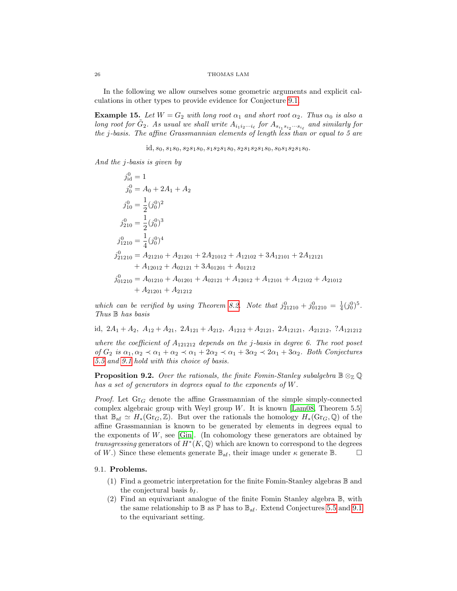In the following we allow ourselves some geometric arguments and explicit calculations in other types to provide evidence for Conjecture [9.1.](#page-24-1)

**Example 15.** Let  $W = G_2$  with long root  $\alpha_1$  and short root  $\alpha_2$ . Thus  $\alpha_0$  is also a long root for  $\tilde{G}_2$ . As usual we shall write  $A_{i_1 i_2 \cdots i_\ell}$  for  $A_{s_{i_1}s_{i_2}\cdots s_{i_\ell}}$  and similarly for the j-basis. The affine Grassmannian elements of length less than or equal to 5 are

id,  $s_0$ ,  $s_1s_0$ ,  $s_2s_1s_0$ ,  $s_1s_2s_1s_0$ ,  $s_2s_1s_2s_1s_0$ ,  $s_0s_1s_2s_1s_0$ .

And the j-basis is given by

$$
j_{id}^0 = 1
$$
  
\n
$$
j_0^0 = A_0 + 2A_1 + A_2
$$
  
\n
$$
j_{10}^0 = \frac{1}{2} (j_0^0)^2
$$
  
\n
$$
j_{210}^0 = \frac{1}{2} (j_0^0)^3
$$
  
\n
$$
j_{1210}^0 = \frac{1}{4} (j_0^0)^4
$$
  
\n
$$
j_{21210}^0 = A_{21210} + A_{21201} + 2A_{21012} + A_{12102} + 3A_{12101} + 2A_{12121} + A_{12012} + A_{02121} + 3A_{01201} + A_{01212}
$$
  
\n
$$
j_{01210}^0 = A_{01210} + A_{01201} + A_{02121} + A_{12012} + A_{12101} + A_{12102} + A_{21012} + A_{21212}
$$

which can be verified by using Theorem [8.2.](#page-21-2) Note that  $j_{21210}^0 + j_{01210}^0 = \frac{1}{4}(j_0^0)^5$ . Thus  $\mathbb B$  has basis

id,  $2A_1 + A_2$ ,  $A_{12} + A_{21}$ ,  $2A_{121} + A_{212}$ ,  $A_{1212} + A_{2121}$ ,  $2A_{12121}$ ,  $A_{21212}$ ,  $?A_{121212}$ 

where the coefficient of  $A_{121212}$  depends on the j-basis in degree 6. The root poset of  $G_2$  is  $\alpha_1, \alpha_2 \prec \alpha_1 + \alpha_2 \prec \alpha_1 + 2\alpha_2 \prec \alpha_1 + 3\alpha_2 \prec 2\alpha_1 + 3\alpha_2$ . Both Conjectures [5.5](#page-15-0) and [9.1](#page-24-1) hold with this choice of basis.

<span id="page-25-0"></span>**Proposition 9.2.** Over the rationals, the finite Fomin-Stanley subalgebra  $\mathbb{B} \otimes_{\mathbb{Z}} \mathbb{Q}$ has a set of generators in degrees equal to the exponents of W.

*Proof.* Let  $\text{Gr}_G$  denote the affine Grassmannian of the simple simply-connected complex algebraic group with Weyl group W. It is known [\[Lam08,](#page-27-2) Theorem 5.5] that  $\mathbb{B}_{\text{af}} \simeq H_*(\text{Gr}_G, \mathbb{Z})$ . But over the rationals the homology  $H_*(\text{Gr}_G, \mathbb{Q})$  of the affine Grassmannian is known to be generated by elements in degrees equal to the exponents of  $W$ , see [\[Gin\]](#page-27-26). (In cohomology these generators are obtained by *transgressing* generators of  $H^*(K, \mathbb{Q})$  which are known to correspond to the degrees of W.) Since these elements generate  $\mathbb{B}_{af}$ , their image under  $\kappa$  generate  $\mathbb{B}$ .  $\Box$ 

## 9.1. Problems.

- (1) Find a geometric interpretation for the finite Fomin-Stanley algebras  $\mathbb B$  and the conjectural basis  $b_I$ .
- (2) Find an equivariant analogue of the finite Fomin Stanley algebra B, with the same relationship to  $\mathbb B$  as  $\mathbb P$  has to  $\mathbb B_{\text{af}}$ . Extend Conjectures [5.5](#page-15-0) and [9.1](#page-24-1) to the equivariant setting.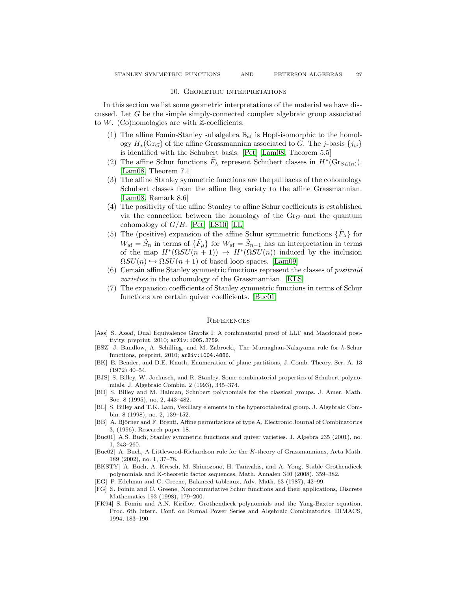#### 10. Geometric interpretations

<span id="page-26-3"></span>In this section we list some geometric interpretations of the material we have discussed. Let  $G$  be the simple simply-connected complex algebraic group associated to  $W$ . (Co)homologies are with  $\mathbb{Z}$ -coefficients.

- (1) The affine Fomin-Stanley subalgebra  $\mathbb{B}_{\mathrm{af}}$  is Hopf-isomorphic to the homology  $H_*(\text{Gr}_G)$  of the affine Grassmannian associated to G. The j-basis  $\{j_w\}$ is identified with the Schubert basis. [\[Pet\]](#page-28-1) [\[Lam08,](#page-27-2) Theorem 5.5]
- (2) The affine Schur functions  $\tilde{F}_{\lambda}$  represent Schubert classes in  $H^*(\mathrm{Gr}_{SL(n)})$ . [\[Lam08,](#page-27-2) Theorem 7.1]
- (3) The affine Stanley symmetric functions are the pullbacks of the cohomology Schubert classes from the affine flag variety to the affine Grassmannian. [\[Lam08,](#page-27-2) Remark 8.6]
- (4) The positivity of the affine Stanley to affine Schur coefficients is established via the connection between the homology of the  $\mathrm{Gr}_G$  and the quantum cohomology of  $G/B$ . [\[Pet\]](#page-28-1) [\[LS10\]](#page-27-4) [\[LL\]](#page-28-2)
- (5) The (positive) expansion of the affine Schur symmetric functions  $\{\tilde{F}_{\lambda}\}\)$  for  $W_{\text{af}} = \tilde{S}_n$  in terms of  $\{\tilde{F}_\mu\}$  for  $W_{\text{af}} = \tilde{S}_{n-1}$  has an interpretation in terms of the map  $H^*(\Omega SU(n+1)) \to H^*(\Omega SU(n))$  induced by the inclusion  $\Omega SU(n) \hookrightarrow \Omega SU(n+1)$  of based loop spaces. [\[Lam09\]](#page-27-18)
- (6) Certain affine Stanley symmetric functions represent the classes of positroid varieties in the cohomology of the Grassmannian. [\[KLS\]](#page-27-27)
- (7) The expansion coefficients of Stanley symmetric functions in terms of Schur functions are certain quiver coefficients. [\[Buc01\]](#page-26-13)

#### **REFERENCES**

- <span id="page-26-8"></span>[Ass] S. Assaf, Dual Equivalence Graphs I: A combinatorial proof of LLT and Macdonald positivity, preprint, 2010; arXiv:1005.3759.
- <span id="page-26-12"></span>[BSZ] J. Bandlow, A. Schilling, and M. Zabrocki, The Murnaghan-Nakayama rule for k-Schur functions, preprint, 2010; arXiv:1004.4886.
- <span id="page-26-9"></span>[BK] E. Bender, and D.E. Knuth, Enumeration of plane partitions, J. Comb. Theory. Ser. A. 13 (1972) 40–54.
- <span id="page-26-4"></span>[BJS] S. Billey, W. Jockusch, and R. Stanley, Some combinatorial properties of Schubert polynomials, J. Algebraic Combin. 2 (1993), 345–374.
- <span id="page-26-1"></span>[BH] S. Billey and M. Haiman, Schubert polynomials for the classical groups. J. Amer. Math. Soc. 8 (1995), no. 2, 443–482.
- <span id="page-26-2"></span>[BL] S. Billey and T.K. Lam, Vexillary elements in the hyperoctahedral group. J. Algebraic Combin. 8 (1998), no. 2, 139–152.
- <span id="page-26-10"></span>[BB] A. Björner and F. Brenti, Affine permutations of type A, Electronic Journal of Combinatorics 3, (1996), Research paper 18.
- <span id="page-26-13"></span>[Buc01] A.S. Buch, Stanley symmetric functions and quiver varieties. J. Algebra 235 (2001), no. 1, 243–260.
- <span id="page-26-5"></span>[Buc02] A. Buch, A Littlewood-Richardson rule for the K-theory of Grassmannians, Acta Math. 189 (2002), no. 1, 37–78.
- <span id="page-26-6"></span>[BKSTY] A. Buch, A. Kresch, M. Shimozono, H. Tamvakis, and A. Yong, Stable Grothendieck polynomials and K-theoretic factor sequences, Math. Annalen 340 (2008), 359–382.
- <span id="page-26-0"></span>[EG] P. Edelman and C. Greene, Balanced tableaux, Adv. Math. 63 (1987), 42–99.
- <span id="page-26-11"></span>[FG] S. Fomin and C. Greene, Noncommutative Schur functions and their applications, Discrete Mathematics 193 (1998), 179–200.
- <span id="page-26-7"></span>[FK94] S. Fomin and A.N. Kirillov, Grothendieck polynomials and the Yang-Baxter equation, Proc. 6th Intern. Conf. on Formal Power Series and Algebraic Combinatorics, DIMACS, 1994, 183–190.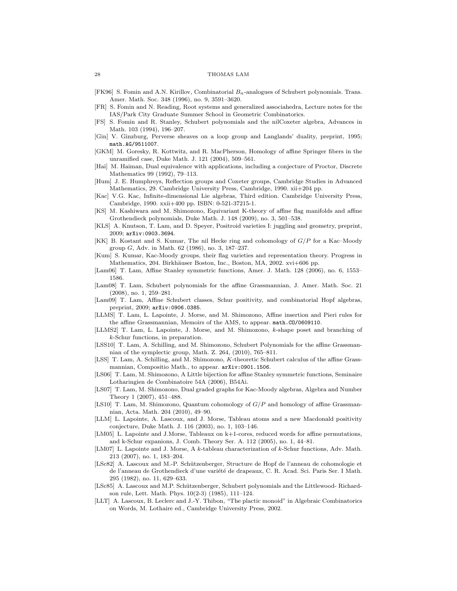#### 28 THOMAS LAM

- <span id="page-27-6"></span>[FK96] S. Fomin and A.N. Kirillov, Combinatorial  $B_n$ -analogues of Schubert polynomials. Trans. Amer. Math. Soc. 348 (1996), no. 9, 3591–3620.
- <span id="page-27-22"></span>[FR] S. Fomin and N. Reading, Root systems and generalized associahedra, Lecture notes for the IAS/Park City Graduate Summer School in Geometric Combinatorics.
- <span id="page-27-21"></span>[FS] S. Fomin and R. Stanley, Schubert polynomials and the nilCoxeter algebra, Advances in Math. 103 (1994), 196–207.
- <span id="page-27-26"></span>[Gin] V. Ginzburg, Perverse sheaves on a loop group and Langlands' duality, preprint, 1995; math.AG/9511007.
- <span id="page-27-24"></span>[GKM] M. Goresky, R. Kottwitz, and R. MacPherson, Homology of affine Springer fibers in the unramified case, Duke Math. J. 121 (2004), 509–561.
- <span id="page-27-12"></span>[Hai] M. Haiman, Dual equivalence with applications, including a conjecture of Proctor, Discrete Mathematics 99 (1992), 79–113.
- <span id="page-27-19"></span>[Hum] J. E. Humphreys, Reflection groups and Coxeter groups, Cambridge Studies in Advanced Mathematics, 29. Cambridge University Press, Cambridge, 1990. xii+204 pp.
- <span id="page-27-20"></span>[Kac] V.G. Kac, Infinite-dimensional Lie algebras, Third edition. Cambridge University Press, Cambridge, 1990. xxii+400 pp. ISBN: 0-521-37215-1.
- <span id="page-27-16"></span>[KS] M. Kashiwara and M. Shimozono, Equivariant K-theory of affine flag manifolds and affine Grothendieck polynomials, Duke Math. J. 148 (2009), no. 3, 501–538.
- <span id="page-27-27"></span>[KLS] A. Knutson, T. Lam, and D. Speyer, Positroid varieties I: juggling and geometry, preprint, 2009; arXiv:0903.3694.
- <span id="page-27-3"></span>[KK] B. Kostant and S. Kumar, The nil Hecke ring and cohomology of G/P for a Kac–Moody group G, Adv. in Math. 62 (1986), no. 3, 187–237.
- <span id="page-27-23"></span>[Kum] S. Kumar, Kac-Moody groups, their flag varieties and representation theory. Progress in Mathematics, 204. Birkhäuser Boston, Inc., Boston, MA, 2002. xvi+606 pp.
- <span id="page-27-1"></span>[Lam06] T. Lam, Affine Stanley symmetric functions, Amer. J. Math. 128 (2006), no. 6, 1553– 1586.
- <span id="page-27-2"></span>[Lam08] T. Lam, Schubert polynomials for the affine Grassmannian, J. Amer. Math. Soc. 21 (2008), no. 1, 259–281.
- <span id="page-27-18"></span>[Lam09] T. Lam, Affine Schubert classes, Schur positivity, and combinatorial Hopf algebras, preprint, 2009; arXiv:0906.0385.
- <span id="page-27-15"></span>[LLMS] T. Lam, L. Lapointe, J. Morse, and M. Shimozono, Affine insertion and Pieri rules for the affine Grassmannian, Memoirs of the AMS, to appear. math.CO/0609110.
- <span id="page-27-17"></span>[LLMS2] T. Lam, L. Lapointe, J. Morse, and M. Shimozono, k-shape poset and branching of k-Schur functions, in preparation.
- <span id="page-27-7"></span>[LSS10] T. Lam, A. Schilling, and M. Shimozono, Schubert Polynomials for the affine Grassmannian of the symplectic group, Math. Z. 264, (2010), 765–811.
- <span id="page-27-8"></span>[LSS] T. Lam, A. Schilling, and M. Shimozono, K-theoretic Schubert calculus of the affine Grassmannian, Compositio Math., to appear. arXiv:0901.1506.
- <span id="page-27-13"></span>[LS06] T. Lam, M. Shimozono, A Little bijection for affine Stanley symmetric functions, Seminaire Lotharingien de Combinatoire 54A (2006), B54Ai.
- <span id="page-27-25"></span>[LS07] T. Lam, M. Shimozono, Dual graded graphs for Kac-Moody algebras, Algebra and Number Theory 1 (2007), 451–488.
- <span id="page-27-4"></span>[LS10] T. Lam, M. Shimozono, Quantum cohomology of  $G/P$  and homology of affine Grassmannian, Acta. Math. 204 (2010), 49–90.
- <span id="page-27-5"></span>[LLM] L. Lapointe, A. Lascoux, and J. Morse, Tableau atoms and a new Macdonald positivity conjecture, Duke Math. J. 116 (2003), no. 1, 103–146.
- <span id="page-27-9"></span>[LM05] L. Lapointe and J.Morse, Tableaux on k+1-cores, reduced words for affine permutations, and k-Schur expanions, J. Comb. Theory Ser. A. 112 (2005), no. 1, 44–81.
- <span id="page-27-10"></span>[LM07] L. Lapointe and J. Morse, A k-tableau characterization of k-Schur functions, Adv. Math. 213 (2007), no. 1, 183–204.
- <span id="page-27-0"></span>[LSc82] A. Lascoux and M.-P. Schützenberger, Structure de Hopf de l'anneau de cohomologie et de l'anneau de Grothendieck d'une variété de drapeaux, C. R. Acad. Sci. Paris Ser. I Math. 295 (1982), no. 11, 629–633.
- <span id="page-27-11"></span>[LSc85] A. Lascoux and M.P. Schützenberger, Schubert polynomials and the Littlewood- Richardson rule, Lett. Math. Phys. 10(2-3) (1985), 111–124.
- <span id="page-27-14"></span>[LLT] A. Lascoux, B. Leclerc and J.-Y. Thibon, "The plactic monoid" in Algebraic Combinatorics on Words, M. Lothaire ed., Cambridge University Press, 2002.